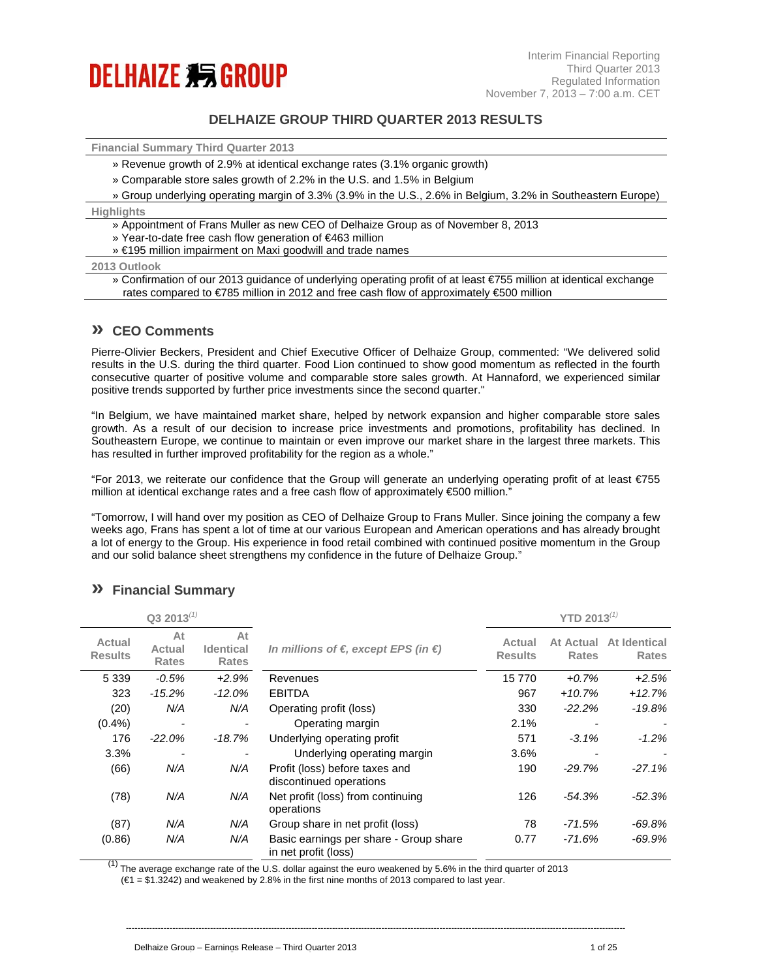# **DELHAIZE 355 GROUP**

## **DELHAIZE GROUP THIRD QUARTER 2013 RESULTS**

**Financial Summary Third Quarter 2013** 

- » Revenue growth of 2.9% at identical exchange rates (3.1% organic growth)
- » Comparable store sales growth of 2.2% in the U.S. and 1.5% in Belgium

» Group underlying operating margin of 3.3% (3.9% in the U.S., 2.6% in Belgium, 3.2% in Southeastern Europe)

**Highlights** 

- » Appointment of Frans Muller as new CEO of Delhaize Group as of November 8, 2013
- » Year-to-date free cash flow generation of €463 million
- » €195 million impairment on Maxi goodwill and trade names

### **2013 Outlook**

» Confirmation of our 2013 guidance of underlying operating profit of at least €755 million at identical exchange rates compared to €785 million in 2012 and free cash flow of approximately €500 million

## **» CEO Comments**

Pierre-Olivier Beckers, President and Chief Executive Officer of Delhaize Group, commented: "We delivered solid results in the U.S. during the third quarter. Food Lion continued to show good momentum as reflected in the fourth consecutive quarter of positive volume and comparable store sales growth. At Hannaford, we experienced similar positive trends supported by further price investments since the second quarter."

"In Belgium, we have maintained market share, helped by network expansion and higher comparable store sales growth. As a result of our decision to increase price investments and promotions, profitability has declined. In Southeastern Europe, we continue to maintain or even improve our market share in the largest three markets. This has resulted in further improved profitability for the region as a whole."

"For 2013, we reiterate our confidence that the Group will generate an underlying operating profit of at least €755 million at identical exchange rates and a free cash flow of approximately €500 million."

"Tomorrow, I will hand over my position as CEO of Delhaize Group to Frans Muller. Since joining the company a few weeks ago, Frans has spent a lot of time at our various European and American operations and has already brought a lot of energy to the Group. His experience in food retail combined with continued positive momentum in the Group and our solid balance sheet strengthens my confidence in the future of Delhaize Group."

|                          | $Q3 2013^{(1)}$              |                                        |                                                                |                          | YTD 2013 $^{(1)}$         |                                     |
|--------------------------|------------------------------|----------------------------------------|----------------------------------------------------------------|--------------------------|---------------------------|-------------------------------------|
| Actual<br><b>Results</b> | At<br>Actual<br><b>Rates</b> | At<br><b>Identical</b><br><b>Rates</b> | In millions of $\epsilon$ , except EPS (in $\epsilon$ )        | Actual<br><b>Results</b> | At Actual<br><b>Rates</b> | <b>At Identical</b><br><b>Rates</b> |
| 5 3 3 9                  | $-0.5\%$                     | $+2.9%$                                | Revenues                                                       | 15770                    | $+0.7%$                   | $+2.5%$                             |
| 323                      | $-15.2\%$                    | $-12.0\%$                              | <b>EBITDA</b>                                                  | 967                      | $+10.7%$                  | $+12.7%$                            |
| (20)                     | N/A                          | N/A                                    | Operating profit (loss)                                        | 330                      | $-22.2\%$                 | $-19.8%$                            |
| $(0.4\%)$                | $\overline{\phantom{a}}$     |                                        | Operating margin                                               | 2.1%                     |                           |                                     |
| 176                      | $-22.0\%$                    | $-18.7%$                               | Underlying operating profit                                    | 571                      | $-3.1\%$                  | $-1.2%$                             |
| 3.3%                     |                              |                                        | Underlying operating margin                                    | 3.6%                     |                           |                                     |
| (66)                     | N/A                          | N/A                                    | Profit (loss) before taxes and<br>discontinued operations      | 190                      | $-29.7%$                  | $-27.1%$                            |
| (78)                     | N/A                          | N/A                                    | Net profit (loss) from continuing<br>operations                | 126                      | $-54.3%$                  | $-52.3%$                            |
| (87)                     | N/A                          | N/A                                    | Group share in net profit (loss)                               | 78                       | -71.5%                    | $-69.8%$                            |
| (0.86)                   | N/A                          | N/A                                    | Basic earnings per share - Group share<br>in net profit (loss) | 0.77                     | $-71.6%$                  | -69.9%                              |

----------------------------------------------------------------------------------------------------------------------------------------------------------------------------

## **» Financial Summary**

 $(1)$  The average exchange rate of the U.S. dollar against the euro weakened by 5.6% in the third quarter of 2013

(€1 = \$1.3242) and weakened by 2.8% in the first nine months of 2013 compared to last year.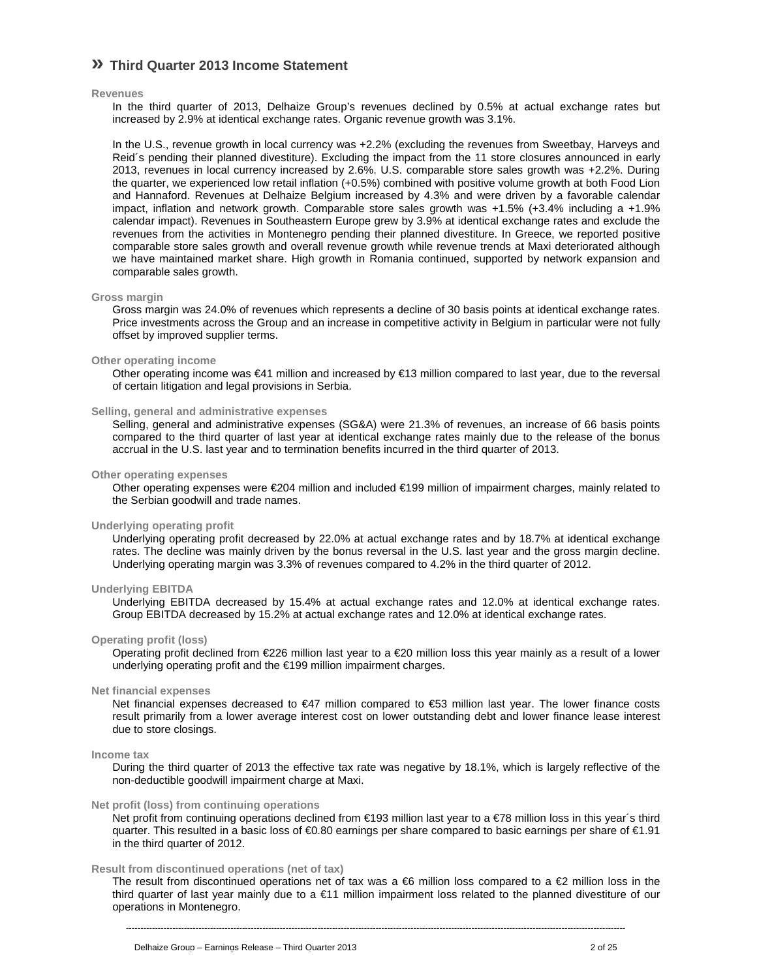## **» Third Quarter 2013 Income Statement**

### **Revenues**

In the third quarter of 2013, Delhaize Group's revenues declined by 0.5% at actual exchange rates but increased by 2.9% at identical exchange rates. Organic revenue growth was 3.1%.

In the U.S., revenue growth in local currency was +2.2% (excluding the revenues from Sweetbay, Harveys and Reid´s pending their planned divestiture). Excluding the impact from the 11 store closures announced in early 2013, revenues in local currency increased by 2.6%. U.S. comparable store sales growth was +2.2%. During the quarter, we experienced low retail inflation (+0.5%) combined with positive volume growth at both Food Lion and Hannaford. Revenues at Delhaize Belgium increased by 4.3% and were driven by a favorable calendar impact, inflation and network growth. Comparable store sales growth was +1.5% (+3.4% including a +1.9% calendar impact). Revenues in Southeastern Europe grew by 3.9% at identical exchange rates and exclude the revenues from the activities in Montenegro pending their planned divestiture. In Greece, we reported positive comparable store sales growth and overall revenue growth while revenue trends at Maxi deteriorated although we have maintained market share. High growth in Romania continued, supported by network expansion and comparable sales growth.

### **Gross margin**

Gross margin was 24.0% of revenues which represents a decline of 30 basis points at identical exchange rates. Price investments across the Group and an increase in competitive activity in Belgium in particular were not fully offset by improved supplier terms.

### **Other operating income**

Other operating income was €41 million and increased by €13 million compared to last year, due to the reversal of certain litigation and legal provisions in Serbia.

### **Selling, general and administrative expenses**

Selling, general and administrative expenses (SG&A) were 21.3% of revenues, an increase of 66 basis points compared to the third quarter of last year at identical exchange rates mainly due to the release of the bonus accrual in the U.S. last year and to termination benefits incurred in the third quarter of 2013.

### **Other operating expenses**

Other operating expenses were €204 million and included €199 million of impairment charges, mainly related to the Serbian goodwill and trade names.

### **Underlying operating profit**

Underlying operating profit decreased by 22.0% at actual exchange rates and by 18.7% at identical exchange rates. The decline was mainly driven by the bonus reversal in the U.S. last year and the gross margin decline. Underlying operating margin was 3.3% of revenues compared to 4.2% in the third quarter of 2012.

## **Underlying EBITDA**

Underlying EBITDA decreased by 15.4% at actual exchange rates and 12.0% at identical exchange rates. Group EBITDA decreased by 15.2% at actual exchange rates and 12.0% at identical exchange rates.

### **Operating profit (loss)**

Operating profit declined from €226 million last year to a €20 million loss this year mainly as a result of a lower underlying operating profit and the €199 million impairment charges.

### **Net financial expenses**

Net financial expenses decreased to €47 million compared to €53 million last year. The lower finance costs result primarily from a lower average interest cost on lower outstanding debt and lower finance lease interest due to store closings.

### **Income tax**

During the third quarter of 2013 the effective tax rate was negative by 18.1%, which is largely reflective of the non-deductible goodwill impairment charge at Maxi.

### **Net profit (loss) from continuing operations**

Net profit from continuing operations declined from €193 million last year to a €78 million loss in this year's third quarter. This resulted in a basic loss of €0.80 earnings per share compared to basic earnings per share of €1.91 in the third quarter of 2012.

### **Result from discontinued operations (net of tax)**

The result from discontinued operations net of tax was a  $66$  million loss compared to a  $62$  million loss in the third quarter of last year mainly due to a €11 million impairment loss related to the planned divestiture of our operations in Montenegro.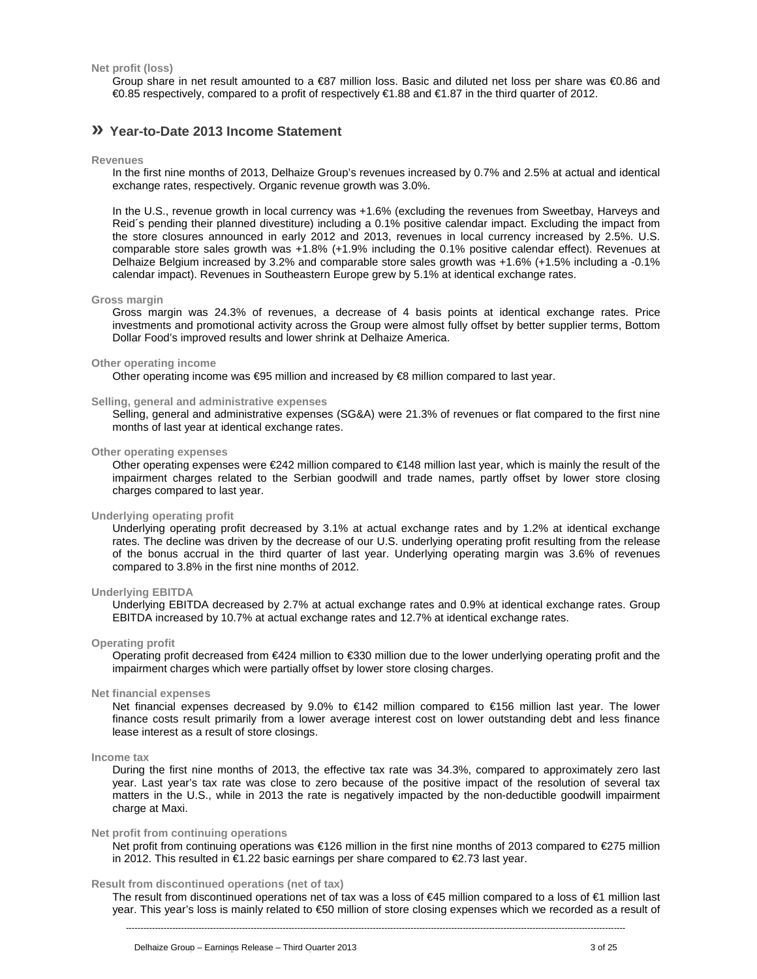**Net profit (loss)** 

Group share in net result amounted to a €87 million loss. Basic and diluted net loss per share was €0.86 and €0.85 respectively, compared to a profit of respectively €1.88 and €1.87 in the third quarter of 2012.

## **» Year-to-Date 2013 Income Statement**

**Revenues** 

In the first nine months of 2013, Delhaize Group's revenues increased by 0.7% and 2.5% at actual and identical exchange rates, respectively. Organic revenue growth was 3.0%.

In the U.S., revenue growth in local currency was +1.6% (excluding the revenues from Sweetbay, Harveys and Reid´s pending their planned divestiture) including a 0.1% positive calendar impact. Excluding the impact from the store closures announced in early 2012 and 2013, revenues in local currency increased by 2.5%. U.S. comparable store sales growth was +1.8% (+1.9% including the 0.1% positive calendar effect). Revenues at Delhaize Belgium increased by 3.2% and comparable store sales growth was +1.6% (+1.5% including a -0.1% calendar impact). Revenues in Southeastern Europe grew by 5.1% at identical exchange rates.

### **Gross margin**

Gross margin was 24.3% of revenues, a decrease of 4 basis points at identical exchange rates. Price investments and promotional activity across the Group were almost fully offset by better supplier terms, Bottom Dollar Food's improved results and lower shrink at Delhaize America.

### **Other operating income**

Other operating income was €95 million and increased by €8 million compared to last year.

### **Selling, general and administrative expenses**

Selling, general and administrative expenses (SG&A) were 21.3% of revenues or flat compared to the first nine months of last year at identical exchange rates.

#### **Other operating expenses**

Other operating expenses were €242 million compared to €148 million last year, which is mainly the result of the impairment charges related to the Serbian goodwill and trade names, partly offset by lower store closing charges compared to last year.

## **Underlying operating profit**

Underlying operating profit decreased by 3.1% at actual exchange rates and by 1.2% at identical exchange rates. The decline was driven by the decrease of our U.S. underlying operating profit resulting from the release of the bonus accrual in the third quarter of last year. Underlying operating margin was 3.6% of revenues compared to 3.8% in the first nine months of 2012.

### **Underlying EBITDA**

Underlying EBITDA decreased by 2.7% at actual exchange rates and 0.9% at identical exchange rates. Group EBITDA increased by 10.7% at actual exchange rates and 12.7% at identical exchange rates.

#### **Operating profit**

Operating profit decreased from €424 million to €330 million due to the lower underlying operating profit and the impairment charges which were partially offset by lower store closing charges.

### **Net financial expenses**

Net financial expenses decreased by 9.0% to €142 million compared to €156 million last year. The lower finance costs result primarily from a lower average interest cost on lower outstanding debt and less finance lease interest as a result of store closings.

#### **Income tax**

During the first nine months of 2013, the effective tax rate was 34.3%, compared to approximately zero last year. Last year's tax rate was close to zero because of the positive impact of the resolution of several tax matters in the U.S., while in 2013 the rate is negatively impacted by the non-deductible goodwill impairment charge at Maxi.

## **Net profit from continuing operations**

Net profit from continuing operations was €126 million in the first nine months of 2013 compared to €275 million in 2012. This resulted in €1.22 basic earnings per share compared to €2.73 last year.

### **Result from discontinued operations (net of tax)**

The result from discontinued operations net of tax was a loss of €45 million compared to a loss of €1 million last year. This year's loss is mainly related to €50 million of store closing expenses which we recorded as a result of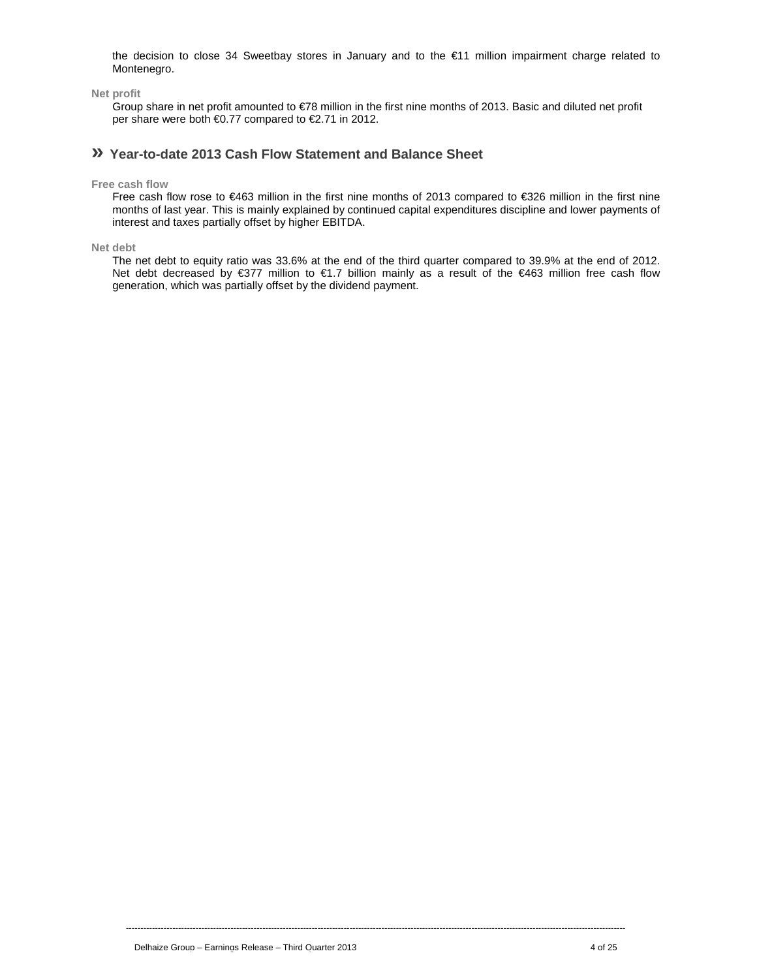the decision to close 34 Sweetbay stores in January and to the €11 million impairment charge related to Montenegro.

**Net profit** 

 Group share in net profit amounted to €78 million in the first nine months of 2013. Basic and diluted net profit per share were both €0.77 compared to €2.71 in 2012.

## **» Year-to-date 2013 Cash Flow Statement and Balance Sheet**

**Free cash flow** 

Free cash flow rose to €463 million in the first nine months of 2013 compared to €326 million in the first nine months of last year. This is mainly explained by continued capital expenditures discipline and lower payments of interest and taxes partially offset by higher EBITDA.

**Net debt** 

The net debt to equity ratio was 33.6% at the end of the third quarter compared to 39.9% at the end of 2012. Net debt decreased by €377 million to €1.7 billion mainly as a result of the €463 million free cash flow generation, which was partially offset by the dividend payment.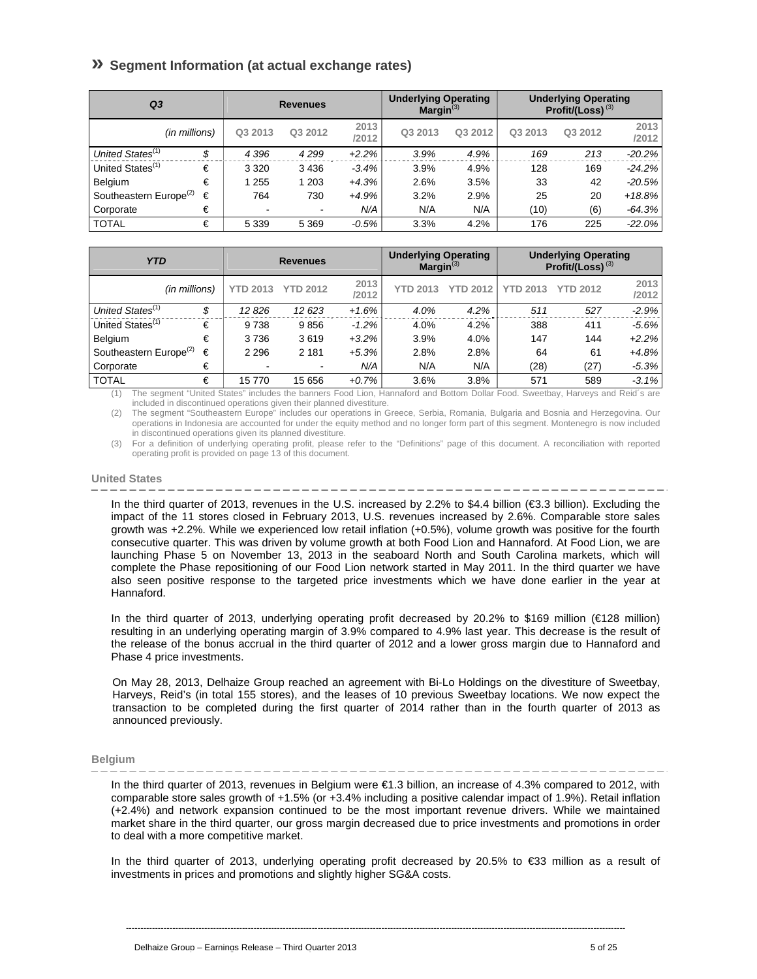## **» Segment Information (at actual exchange rates)**

| Q3                                 |    |         | <b>Revenues</b> |               | <b>Underlying Operating</b><br>Margin <sup>(3)</sup> |         |         | <b>Underlying Operating</b><br>Profit/(Loss) $(3)$ |               |
|------------------------------------|----|---------|-----------------|---------------|------------------------------------------------------|---------|---------|----------------------------------------------------|---------------|
| (in millions)                      |    | Q3 2013 | Q3 2012         | 2013<br>/2012 | Q3 2013                                              | Q3 2012 | Q3 2013 | Q3 2012                                            | 2013<br>/2012 |
| United States <sup>(1)</sup>       | \$ | 4 3 9 6 | 4299            | $+2.2%$       | 3.9%                                                 | 4.9%    | 169     | 213                                                | $-20.2\%$     |
| United States <sup>(1)</sup>       | €  | 3 3 2 0 | 3436            | $-3.4%$       | 3.9%                                                 | 4.9%    | 128     | 169                                                | $-24.2%$      |
| Belgium                            | €  | 1 2 5 5 | 1 203           | $+4.3%$       | 2.6%                                                 | 3.5%    | 33      | 42                                                 | $-20.5%$      |
| Southeastern Europe <sup>(2)</sup> | €  | 764     | 730             | +4.9%         | 3.2%                                                 | 2.9%    | 25      | 20                                                 | $+18.8%$      |
| Corporate                          | €  | -       |                 | N/A           | N/A                                                  | N/A     | (10)    | (6)                                                | $-64.3%$      |
| <b>TOTAL</b>                       | €  | 5 3 3 9 | 5 3 6 9         | $-0.5%$       | 3.3%                                                 | 4.2%    | 176     | 225                                                | $-22.0\%$     |

| <b>YTD</b>                         |    |                 | <b>Revenues</b> |               | <b>Underlying Operating</b><br>Margin <sup>(3)</sup> |                 |                 | <b>Underlying Operating</b><br>Profit/(Loss) $(3)$ |               |
|------------------------------------|----|-----------------|-----------------|---------------|------------------------------------------------------|-----------------|-----------------|----------------------------------------------------|---------------|
| (in millions)                      |    | <b>YTD 2013</b> | <b>YTD 2012</b> | 2013<br>/2012 | <b>YTD 2013</b>                                      | <b>YTD 2012</b> | <b>YTD 2013</b> | <b>YTD 2012</b>                                    | 2013<br>/2012 |
| United States <sup>(1)</sup>       | \$ | 12 826          | 12 623          | $+1.6%$       | 4.0%                                                 | 4.2%            | 511             | 527                                                | $-2.9%$       |
| United States <sup>(1)</sup>       | €  | 9738            | 9856            | $-1.2%$       | 4.0%                                                 | 4.2%            | 388             | 411                                                | $-5.6%$       |
| Belgium                            | €  | 3736            | 3619            | $+3.2%$       | 3.9%                                                 | 4.0%            | 147             | 144                                                | $+2.2%$       |
| Southeastern Europe <sup>(2)</sup> | €  | 2 2 9 6         | 2 1 8 1         | $+5.3%$       | 2.8%                                                 | 2.8%            | 64              | 61                                                 | +4.8%         |
| Corporate                          | €  |                 | $\blacksquare$  | N/A           | N/A                                                  | N/A             | (28)            | (27)                                               | $-5.3%$       |
| <b>TOTAL</b>                       | €  | 15770           | 15 656          | $+0.7%$       | 3.6%                                                 | 3.8%            | 571             | 589                                                | $-3.1%$       |

(1) The segment "United States" includes the banners Food Lion, Hannaford and Bottom Dollar Food. Sweetbay, Harveys and Reid´s are included in discontinued operations given their planned divestiture.

(2) The segment "Southeastern Europe" includes our operations in Greece, Serbia, Romania, Bulgaria and Bosnia and Herzegovina. Our operations in Indonesia are accounted for under the equity method and no longer form part of this segment. Montenegro is now included in discontinued operations given its planned divestiture.

(3) For a definition of underlying operating profit, please refer to the "Definitions" page of this document. A reconciliation with reported operating profit is provided on page 13 of this document.

### **United States**

In the third quarter of 2013, revenues in the U.S. increased by 2.2% to \$4.4 billion (€3.3 billion). Excluding the impact of the 11 stores closed in February 2013, U.S. revenues increased by 2.6%. Comparable store sales growth was +2.2%. While we experienced low retail inflation (+0.5%), volume growth was positive for the fourth consecutive quarter. This was driven by volume growth at both Food Lion and Hannaford. At Food Lion, we are launching Phase 5 on November 13, 2013 in the seaboard North and South Carolina markets, which will complete the Phase repositioning of our Food Lion network started in May 2011. In the third quarter we have also seen positive response to the targeted price investments which we have done earlier in the year at Hannaford.

In the third quarter of 2013, underlying operating profit decreased by 20.2% to \$169 million (€128 million) resulting in an underlying operating margin of 3.9% compared to 4.9% last year. This decrease is the result of the release of the bonus accrual in the third quarter of 2012 and a lower gross margin due to Hannaford and Phase 4 price investments.

On May 28, 2013, Delhaize Group reached an agreement with Bi-Lo Holdings on the divestiture of Sweetbay, Harveys, Reid's (in total 155 stores), and the leases of 10 previous Sweetbay locations. We now expect the transaction to be completed during the first quarter of 2014 rather than in the fourth quarter of 2013 as announced previously.

### **Belgium**

In the third quarter of 2013, revenues in Belgium were €1.3 billion, an increase of 4.3% compared to 2012, with comparable store sales growth of +1.5% (or +3.4% including a positive calendar impact of 1.9%). Retail inflation (+2.4%) and network expansion continued to be the most important revenue drivers. While we maintained market share in the third quarter, our gross margin decreased due to price investments and promotions in order to deal with a more competitive market.

In the third quarter of 2013, underlying operating profit decreased by 20.5% to €33 million as a result of investments in prices and promotions and slightly higher SG&A costs.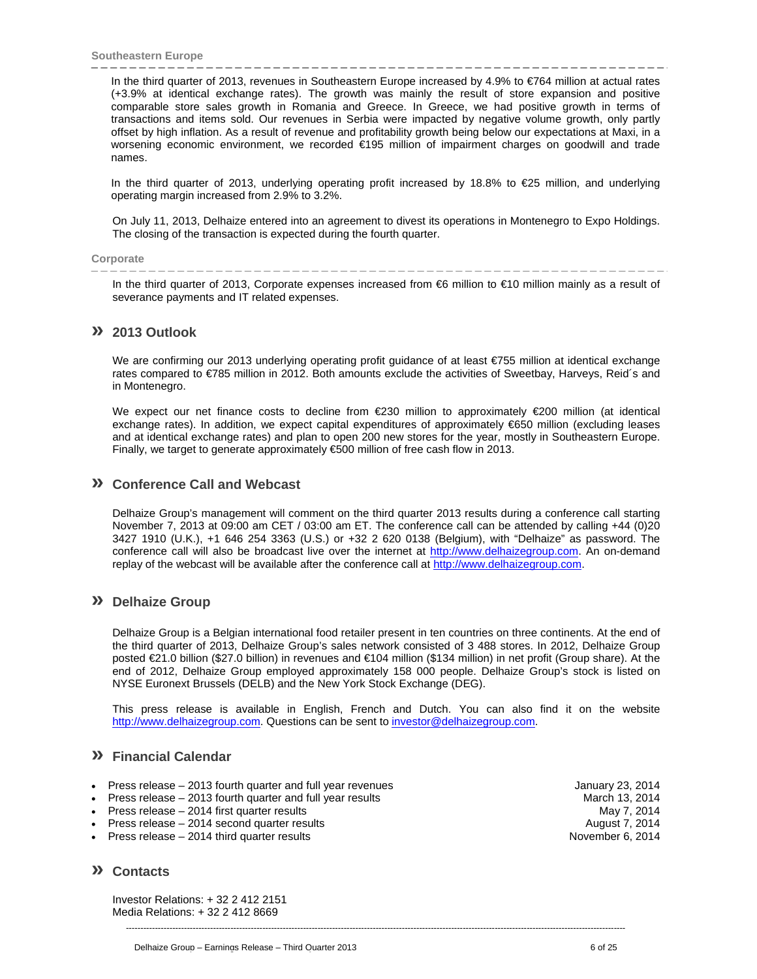In the third quarter of 2013, revenues in Southeastern Europe increased by 4.9% to €764 million at actual rates (+3.9% at identical exchange rates). The growth was mainly the result of store expansion and positive comparable store sales growth in Romania and Greece. In Greece, we had positive growth in terms of transactions and items sold. Our revenues in Serbia were impacted by negative volume growth, only partly offset by high inflation. As a result of revenue and profitability growth being below our expectations at Maxi, in a worsening economic environment, we recorded €195 million of impairment charges on goodwill and trade names.

In the third quarter of 2013, underlying operating profit increased by 18.8% to €25 million, and underlying operating margin increased from 2.9% to 3.2%.

On July 11, 2013, Delhaize entered into an agreement to divest its operations in Montenegro to Expo Holdings. The closing of the transaction is expected during the fourth quarter.

### **Corporate**

In the third quarter of 2013, Corporate expenses increased from €6 million to €10 million mainly as a result of severance payments and IT related expenses.

## **» 2013 Outlook**

We are confirming our 2013 underlying operating profit guidance of at least €755 million at identical exchange rates compared to €785 million in 2012. Both amounts exclude the activities of Sweetbay, Harveys, Reid´s and in Montenegro.

We expect our net finance costs to decline from €230 million to approximately €200 million (at identical exchange rates). In addition, we expect capital expenditures of approximately €650 million (excluding leases and at identical exchange rates) and plan to open 200 new stores for the year, mostly in Southeastern Europe. Finally, we target to generate approximately €500 million of free cash flow in 2013.

## **» Conference Call and Webcast**

Delhaize Group's management will comment on the third quarter 2013 results during a conference call starting November 7, 2013 at 09:00 am CET / 03:00 am ET. The conference call can be attended by calling +44 (0)20 3427 1910 (U.K.), +1 646 254 3363 (U.S.) or +32 2 620 0138 (Belgium), with "Delhaize" as password. The conference call will also be broadcast live over the internet at http://www.delhaizegroup.com. An on-demand replay of the webcast will be available after the conference call at http://www.delhaizegroup.com.

## **» Delhaize Group**

Delhaize Group is a Belgian international food retailer present in ten countries on three continents. At the end of the third quarter of 2013, Delhaize Group's sales network consisted of 3 488 stores. In 2012, Delhaize Group posted €21.0 billion (\$27.0 billion) in revenues and €104 million (\$134 million) in net profit (Group share). At the end of 2012, Delhaize Group employed approximately 158 000 people. Delhaize Group's stock is listed on NYSE Euronext Brussels (DELB) and the New York Stock Exchange (DEG).

This press release is available in English, French and Dutch. You can also find it on the website http://www.delhaizegroup.com. Questions can be sent to investor@delhaizegroup.com.

----------------------------------------------------------------------------------------------------------------------------------------------------------------------------

## **» Financial Calendar**

- Press release 2013 fourth quarter and full year revenues and the state of the state of the January 23, 2014
- Press release 2013 fourth quarter and full year results March 13, 2014
- Press release 2014 first quarter results May 7, 2014
- Press release 2014 second quarter results August 7, 2014<br>• Press release 2014 third quarter results August 7, 2014
- Press release  $-2014$  third quarter results

## **» Contacts**

Investor Relations: + 32 2 412 2151 Media Relations: + 32 2 412 8669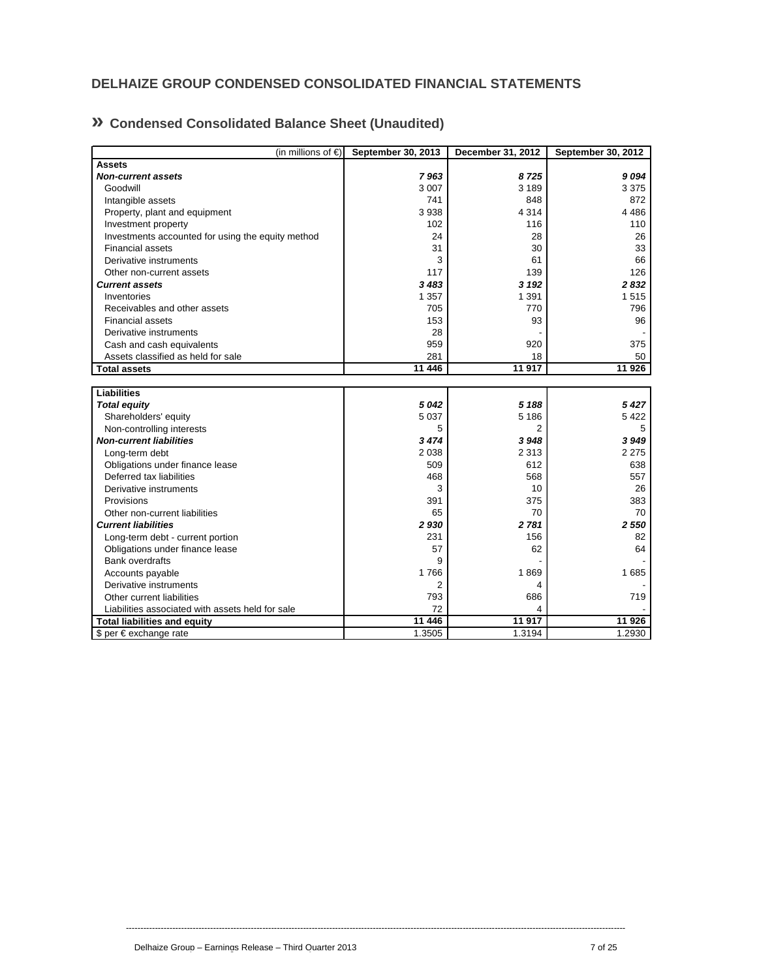## **DELHAIZE GROUP CONDENSED CONSOLIDATED FINANCIAL STATEMENTS**

## **» Condensed Consolidated Balance Sheet (Unaudited)**

| (in millions of $\in$ )                           | September 30, 2013 | December 31, 2012       | September 30, 2012 |
|---------------------------------------------------|--------------------|-------------------------|--------------------|
| <b>Assets</b>                                     |                    |                         |                    |
| <b>Non-current assets</b>                         | 7963               | 8725                    | 9094               |
| Goodwill                                          | 3 0 0 7            | 3 1 8 9                 | 3 3 7 5            |
| Intangible assets                                 | 741                | 848                     | 872                |
| Property, plant and equipment                     | 3938               | 4 3 1 4                 | 4 4 8 6            |
| Investment property                               | 102                | 116                     | 110                |
| Investments accounted for using the equity method | 24                 | 28                      | 26                 |
| <b>Financial assets</b>                           | 31                 | 30                      | 33                 |
| Derivative instruments                            | 3                  | 61                      | 66                 |
| Other non-current assets                          | 117                | 139                     | 126                |
| <b>Current assets</b>                             | 3 4 8 3            | 3 1 9 2                 | 2832               |
| Inventories                                       | 1 3 5 7            | 1 3 9 1                 | 1515               |
| Receivables and other assets                      | 705                | 770                     | 796                |
| <b>Financial assets</b>                           | 153                | 93                      | 96                 |
| Derivative instruments                            | 28                 |                         |                    |
| Cash and cash equivalents                         | 959                | 920                     | 375                |
| Assets classified as held for sale                | 281                | 18                      | 50                 |
| <b>Total assets</b>                               | 11 446             | 11 917                  | 11 926             |
|                                                   |                    |                         |                    |
| <b>Liabilities</b>                                |                    |                         |                    |
| <b>Total equity</b>                               | 5042               | 5 188                   | 5427               |
| Shareholders' equity                              | 5 0 3 7            | 5 1 8 6                 | 5422               |
| Non-controlling interests                         | 5                  | 2                       | 5                  |
| <b>Non-current liabilities</b>                    | 3 4 7 4            | 3948                    | 3949               |
| Long-term debt                                    | 2 0 3 8            | 2 3 1 3                 | 2 2 7 5            |
| Obligations under finance lease                   | 509                | 612                     | 638                |
| Deferred tax liabilities                          | 468                | 568                     | 557                |
| Derivative instruments                            | 3                  | 10                      | 26                 |
| Provisions                                        | 391                | 375                     | 383                |
| Other non-current liabilities                     | 65                 | 70                      | 70                 |
| <b>Current liabilities</b>                        | 2930               | 2781                    | 2 5 5 0            |
| Long-term debt - current portion                  | 231                | 156                     | 82                 |
| Obligations under finance lease                   | 57                 | 62                      | 64                 |
| <b>Bank overdrafts</b>                            | 9                  |                         |                    |
| Accounts payable                                  | 1766               | 1869                    | 1685               |
| Derivative instruments                            | $\overline{2}$     | 4                       |                    |
| Other current liabilities                         | 793                | 686                     | 719                |
| Liabilities associated with assets held for sale  | 72                 | $\overline{\mathbf{A}}$ |                    |
| <b>Total liabilities and equity</b>               | 11 446             | 11 917                  | 11 926             |
| \$ per € exchange rate                            | 1.3505             | 1.3194                  | 1.2930             |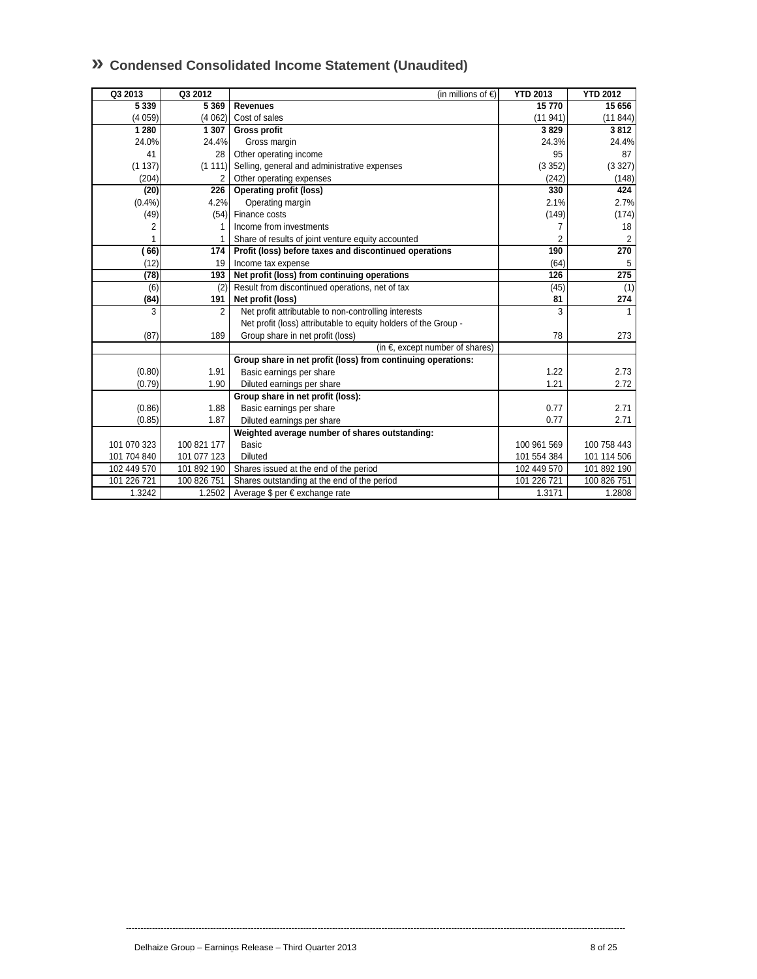| 5 3 3 9<br>5 3 6 9<br><b>Revenues</b><br>15770<br>(4059)<br>(4062)<br>(11941)<br>Cost of sales<br>1 2 8 0<br>1 307<br>3829<br><b>Gross profit</b><br>24.0%<br>24.3%<br>24.4%<br>Gross margin<br>41<br>Other operating income<br>95<br>28<br>Selling, general and administrative expenses<br>(3352)<br>(1137)<br>(1 111)<br>(204)<br>Other operating expenses<br>(242)<br>226<br><b>Operating profit (loss)</b><br>(20)<br>330<br>4.2%<br>2.1%<br>(0.4% )<br>Operating margin<br>Finance costs<br>(149)<br>(49)<br>(54)<br>Income from investments<br>2<br>7<br>1<br>2<br>Share of results of joint venture equity accounted<br>1<br>66)<br>174<br>Profit (loss) before taxes and discontinued operations<br>190<br>(12)<br>(64)<br>19<br>Income tax expense<br>275<br>Net profit (loss) from continuing operations<br>(78)<br>193<br>126<br>Result from discontinued operations, net of tax<br>(45)<br>(6)<br>(2)<br>(84)<br>81<br>191<br>Net profit (loss)<br>Net profit attributable to non-controlling interests<br>3<br>3<br>2<br>$\mathbf{1}$<br>Net profit (loss) attributable to equity holders of the Group -<br>(87)<br>Group share in net profit (loss)<br>189<br>78<br>(in $\epsilon$ , except number of shares)<br>Group share in net profit (loss) from continuing operations:<br>(0.80)<br>1.91<br>1.22<br>Basic earnings per share<br>1.21<br>(0.79)<br>1.90<br>Diluted earnings per share<br>Group share in net profit (loss):<br>(0.86)<br>1.88<br>Basic earnings per share<br>0.77<br>2.71<br>(0.85)<br>1.87<br>Diluted earnings per share<br>0.77<br>2.71<br>Weighted average number of shares outstanding:<br>100 821 177<br>Basic<br>101 070 323<br>100 961 569<br>101 704 840<br>101 077 123<br><b>Diluted</b><br>101 554 384<br>102 449 570<br>101 892 190<br>Shares issued at the end of the period<br>102 449 570<br>101 226 721<br>100 826 751<br>Shares outstanding at the end of the period<br>101 226 721<br>1.3242<br>1.2502<br>Average \$ per € exchange rate<br>1.3171 | Q3 2013 | Q3 2012 | (in millions of €) | <b>YTD 2013</b> | <b>YTD 2012</b> |
|--------------------------------------------------------------------------------------------------------------------------------------------------------------------------------------------------------------------------------------------------------------------------------------------------------------------------------------------------------------------------------------------------------------------------------------------------------------------------------------------------------------------------------------------------------------------------------------------------------------------------------------------------------------------------------------------------------------------------------------------------------------------------------------------------------------------------------------------------------------------------------------------------------------------------------------------------------------------------------------------------------------------------------------------------------------------------------------------------------------------------------------------------------------------------------------------------------------------------------------------------------------------------------------------------------------------------------------------------------------------------------------------------------------------------------------------------------------------------------------------------------------------------------------------------------------------------------------------------------------------------------------------------------------------------------------------------------------------------------------------------------------------------------------------------------------------------------------------------------------------------------------------------------------------------------------------------------------------------------------------------------|---------|---------|--------------------|-----------------|-----------------|
|                                                                                                                                                                                                                                                                                                                                                                                                                                                                                                                                                                                                                                                                                                                                                                                                                                                                                                                                                                                                                                                                                                                                                                                                                                                                                                                                                                                                                                                                                                                                                                                                                                                                                                                                                                                                                                                                                                                                                                                                        |         |         |                    |                 | 15 656          |
|                                                                                                                                                                                                                                                                                                                                                                                                                                                                                                                                                                                                                                                                                                                                                                                                                                                                                                                                                                                                                                                                                                                                                                                                                                                                                                                                                                                                                                                                                                                                                                                                                                                                                                                                                                                                                                                                                                                                                                                                        |         |         |                    |                 | (11844)         |
|                                                                                                                                                                                                                                                                                                                                                                                                                                                                                                                                                                                                                                                                                                                                                                                                                                                                                                                                                                                                                                                                                                                                                                                                                                                                                                                                                                                                                                                                                                                                                                                                                                                                                                                                                                                                                                                                                                                                                                                                        |         |         |                    |                 | 3812            |
|                                                                                                                                                                                                                                                                                                                                                                                                                                                                                                                                                                                                                                                                                                                                                                                                                                                                                                                                                                                                                                                                                                                                                                                                                                                                                                                                                                                                                                                                                                                                                                                                                                                                                                                                                                                                                                                                                                                                                                                                        |         |         |                    |                 | 24.4%           |
|                                                                                                                                                                                                                                                                                                                                                                                                                                                                                                                                                                                                                                                                                                                                                                                                                                                                                                                                                                                                                                                                                                                                                                                                                                                                                                                                                                                                                                                                                                                                                                                                                                                                                                                                                                                                                                                                                                                                                                                                        |         |         |                    |                 | 87              |
|                                                                                                                                                                                                                                                                                                                                                                                                                                                                                                                                                                                                                                                                                                                                                                                                                                                                                                                                                                                                                                                                                                                                                                                                                                                                                                                                                                                                                                                                                                                                                                                                                                                                                                                                                                                                                                                                                                                                                                                                        |         |         |                    |                 | (3327)          |
|                                                                                                                                                                                                                                                                                                                                                                                                                                                                                                                                                                                                                                                                                                                                                                                                                                                                                                                                                                                                                                                                                                                                                                                                                                                                                                                                                                                                                                                                                                                                                                                                                                                                                                                                                                                                                                                                                                                                                                                                        |         |         |                    |                 | (148)           |
|                                                                                                                                                                                                                                                                                                                                                                                                                                                                                                                                                                                                                                                                                                                                                                                                                                                                                                                                                                                                                                                                                                                                                                                                                                                                                                                                                                                                                                                                                                                                                                                                                                                                                                                                                                                                                                                                                                                                                                                                        |         |         |                    |                 | 424             |
|                                                                                                                                                                                                                                                                                                                                                                                                                                                                                                                                                                                                                                                                                                                                                                                                                                                                                                                                                                                                                                                                                                                                                                                                                                                                                                                                                                                                                                                                                                                                                                                                                                                                                                                                                                                                                                                                                                                                                                                                        |         |         |                    |                 | 2.7%            |
|                                                                                                                                                                                                                                                                                                                                                                                                                                                                                                                                                                                                                                                                                                                                                                                                                                                                                                                                                                                                                                                                                                                                                                                                                                                                                                                                                                                                                                                                                                                                                                                                                                                                                                                                                                                                                                                                                                                                                                                                        |         |         |                    |                 | (174)           |
|                                                                                                                                                                                                                                                                                                                                                                                                                                                                                                                                                                                                                                                                                                                                                                                                                                                                                                                                                                                                                                                                                                                                                                                                                                                                                                                                                                                                                                                                                                                                                                                                                                                                                                                                                                                                                                                                                                                                                                                                        |         |         |                    |                 | 18              |
|                                                                                                                                                                                                                                                                                                                                                                                                                                                                                                                                                                                                                                                                                                                                                                                                                                                                                                                                                                                                                                                                                                                                                                                                                                                                                                                                                                                                                                                                                                                                                                                                                                                                                                                                                                                                                                                                                                                                                                                                        |         |         |                    |                 | $\overline{c}$  |
|                                                                                                                                                                                                                                                                                                                                                                                                                                                                                                                                                                                                                                                                                                                                                                                                                                                                                                                                                                                                                                                                                                                                                                                                                                                                                                                                                                                                                                                                                                                                                                                                                                                                                                                                                                                                                                                                                                                                                                                                        |         |         |                    |                 | 270             |
|                                                                                                                                                                                                                                                                                                                                                                                                                                                                                                                                                                                                                                                                                                                                                                                                                                                                                                                                                                                                                                                                                                                                                                                                                                                                                                                                                                                                                                                                                                                                                                                                                                                                                                                                                                                                                                                                                                                                                                                                        |         |         |                    |                 | 5               |
|                                                                                                                                                                                                                                                                                                                                                                                                                                                                                                                                                                                                                                                                                                                                                                                                                                                                                                                                                                                                                                                                                                                                                                                                                                                                                                                                                                                                                                                                                                                                                                                                                                                                                                                                                                                                                                                                                                                                                                                                        |         |         |                    |                 |                 |
|                                                                                                                                                                                                                                                                                                                                                                                                                                                                                                                                                                                                                                                                                                                                                                                                                                                                                                                                                                                                                                                                                                                                                                                                                                                                                                                                                                                                                                                                                                                                                                                                                                                                                                                                                                                                                                                                                                                                                                                                        |         |         |                    |                 | (1)             |
|                                                                                                                                                                                                                                                                                                                                                                                                                                                                                                                                                                                                                                                                                                                                                                                                                                                                                                                                                                                                                                                                                                                                                                                                                                                                                                                                                                                                                                                                                                                                                                                                                                                                                                                                                                                                                                                                                                                                                                                                        |         |         |                    |                 | 274             |
|                                                                                                                                                                                                                                                                                                                                                                                                                                                                                                                                                                                                                                                                                                                                                                                                                                                                                                                                                                                                                                                                                                                                                                                                                                                                                                                                                                                                                                                                                                                                                                                                                                                                                                                                                                                                                                                                                                                                                                                                        |         |         |                    |                 |                 |
|                                                                                                                                                                                                                                                                                                                                                                                                                                                                                                                                                                                                                                                                                                                                                                                                                                                                                                                                                                                                                                                                                                                                                                                                                                                                                                                                                                                                                                                                                                                                                                                                                                                                                                                                                                                                                                                                                                                                                                                                        |         |         |                    |                 |                 |
|                                                                                                                                                                                                                                                                                                                                                                                                                                                                                                                                                                                                                                                                                                                                                                                                                                                                                                                                                                                                                                                                                                                                                                                                                                                                                                                                                                                                                                                                                                                                                                                                                                                                                                                                                                                                                                                                                                                                                                                                        |         |         |                    |                 | 273             |
|                                                                                                                                                                                                                                                                                                                                                                                                                                                                                                                                                                                                                                                                                                                                                                                                                                                                                                                                                                                                                                                                                                                                                                                                                                                                                                                                                                                                                                                                                                                                                                                                                                                                                                                                                                                                                                                                                                                                                                                                        |         |         |                    |                 |                 |
|                                                                                                                                                                                                                                                                                                                                                                                                                                                                                                                                                                                                                                                                                                                                                                                                                                                                                                                                                                                                                                                                                                                                                                                                                                                                                                                                                                                                                                                                                                                                                                                                                                                                                                                                                                                                                                                                                                                                                                                                        |         |         |                    |                 |                 |
|                                                                                                                                                                                                                                                                                                                                                                                                                                                                                                                                                                                                                                                                                                                                                                                                                                                                                                                                                                                                                                                                                                                                                                                                                                                                                                                                                                                                                                                                                                                                                                                                                                                                                                                                                                                                                                                                                                                                                                                                        |         |         |                    |                 | 2.73            |
|                                                                                                                                                                                                                                                                                                                                                                                                                                                                                                                                                                                                                                                                                                                                                                                                                                                                                                                                                                                                                                                                                                                                                                                                                                                                                                                                                                                                                                                                                                                                                                                                                                                                                                                                                                                                                                                                                                                                                                                                        |         |         |                    |                 | 2.72            |
|                                                                                                                                                                                                                                                                                                                                                                                                                                                                                                                                                                                                                                                                                                                                                                                                                                                                                                                                                                                                                                                                                                                                                                                                                                                                                                                                                                                                                                                                                                                                                                                                                                                                                                                                                                                                                                                                                                                                                                                                        |         |         |                    |                 |                 |
|                                                                                                                                                                                                                                                                                                                                                                                                                                                                                                                                                                                                                                                                                                                                                                                                                                                                                                                                                                                                                                                                                                                                                                                                                                                                                                                                                                                                                                                                                                                                                                                                                                                                                                                                                                                                                                                                                                                                                                                                        |         |         |                    |                 |                 |
|                                                                                                                                                                                                                                                                                                                                                                                                                                                                                                                                                                                                                                                                                                                                                                                                                                                                                                                                                                                                                                                                                                                                                                                                                                                                                                                                                                                                                                                                                                                                                                                                                                                                                                                                                                                                                                                                                                                                                                                                        |         |         |                    |                 |                 |
|                                                                                                                                                                                                                                                                                                                                                                                                                                                                                                                                                                                                                                                                                                                                                                                                                                                                                                                                                                                                                                                                                                                                                                                                                                                                                                                                                                                                                                                                                                                                                                                                                                                                                                                                                                                                                                                                                                                                                                                                        |         |         |                    |                 |                 |
|                                                                                                                                                                                                                                                                                                                                                                                                                                                                                                                                                                                                                                                                                                                                                                                                                                                                                                                                                                                                                                                                                                                                                                                                                                                                                                                                                                                                                                                                                                                                                                                                                                                                                                                                                                                                                                                                                                                                                                                                        |         |         |                    |                 | 100 758 443     |
|                                                                                                                                                                                                                                                                                                                                                                                                                                                                                                                                                                                                                                                                                                                                                                                                                                                                                                                                                                                                                                                                                                                                                                                                                                                                                                                                                                                                                                                                                                                                                                                                                                                                                                                                                                                                                                                                                                                                                                                                        |         |         |                    |                 | 101 114 506     |
|                                                                                                                                                                                                                                                                                                                                                                                                                                                                                                                                                                                                                                                                                                                                                                                                                                                                                                                                                                                                                                                                                                                                                                                                                                                                                                                                                                                                                                                                                                                                                                                                                                                                                                                                                                                                                                                                                                                                                                                                        |         |         |                    |                 | 101 892 190     |
|                                                                                                                                                                                                                                                                                                                                                                                                                                                                                                                                                                                                                                                                                                                                                                                                                                                                                                                                                                                                                                                                                                                                                                                                                                                                                                                                                                                                                                                                                                                                                                                                                                                                                                                                                                                                                                                                                                                                                                                                        |         |         |                    |                 | 100 826 751     |
|                                                                                                                                                                                                                                                                                                                                                                                                                                                                                                                                                                                                                                                                                                                                                                                                                                                                                                                                                                                                                                                                                                                                                                                                                                                                                                                                                                                                                                                                                                                                                                                                                                                                                                                                                                                                                                                                                                                                                                                                        |         |         |                    |                 | 1.2808          |

## **» Condensed Consolidated Income Statement (Unaudited)**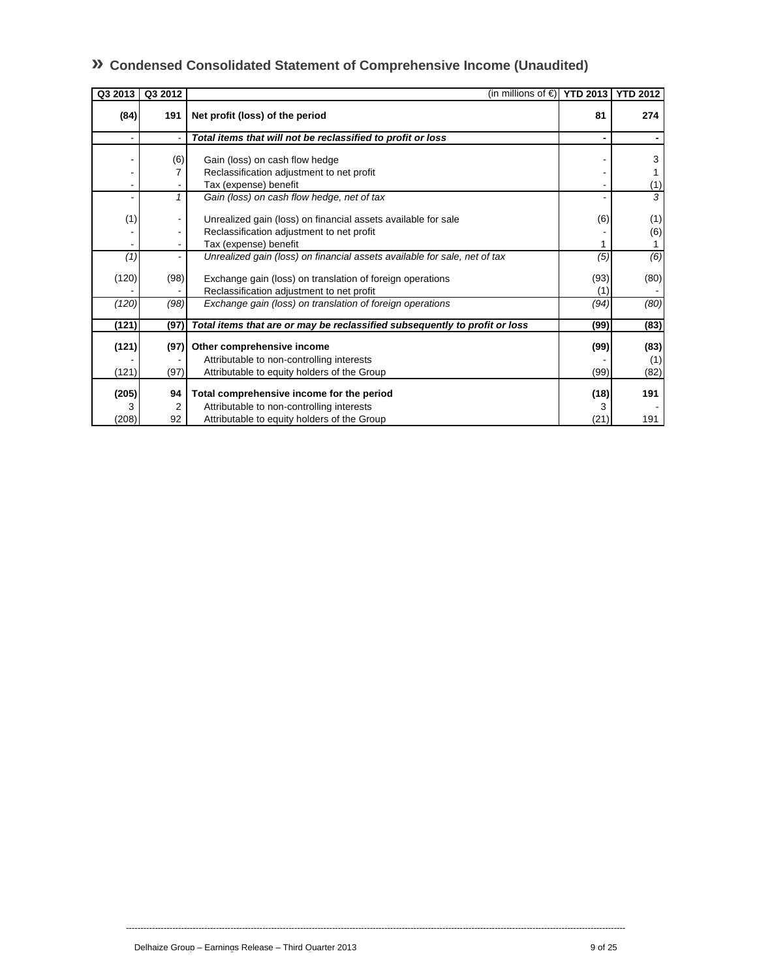| Q3 2013 | Q3 2012 | (in millions of $\epsilon$ ) YTD 2013   YTD 2012                           |      |      |
|---------|---------|----------------------------------------------------------------------------|------|------|
| (84)    | 191     | Net profit (loss) of the period                                            | 81   | 274  |
|         |         | Total items that will not be reclassified to profit or loss                |      |      |
|         | (6)     | Gain (loss) on cash flow hedge                                             |      | 3    |
|         |         | Reclassification adjustment to net profit                                  |      |      |
|         |         | Tax (expense) benefit                                                      |      | (1)  |
|         |         | Gain (loss) on cash flow hedge, net of tax                                 |      | 3    |
| (1)     |         | Unrealized gain (loss) on financial assets available for sale              | (6)  | (1)  |
|         |         | Reclassification adjustment to net profit                                  |      | (6)  |
|         |         | Tax (expense) benefit                                                      |      |      |
| (1)     |         | Unrealized gain (loss) on financial assets available for sale, net of tax  | (5)  | (6)  |
| (120)   | (98)    | Exchange gain (loss) on translation of foreign operations                  | (93) | (80) |
|         |         | Reclassification adjustment to net profit                                  | (1)  |      |
| (120)   | (98)    | Exchange gain (loss) on translation of foreign operations                  | (94) | (80) |
| (121)   | (97)    | Total items that are or may be reclassified subsequently to profit or loss | (99) | (83) |
| (121)   | (97)    | Other comprehensive income                                                 | (99) | (83) |
|         |         | Attributable to non-controlling interests                                  |      | (1)  |
| (121)   | (97)    | Attributable to equity holders of the Group                                | (99) | (82) |
| (205)   | 94      | Total comprehensive income for the period                                  | (18) | 191  |
| 3       | 2       | Attributable to non-controlling interests                                  | 3    |      |
| (208)   | 92      | Attributable to equity holders of the Group                                | (21) | 191  |

----------------------------------------------------------------------------------------------------------------------------------------------------------------------------

## **» Condensed Consolidated Statement of Comprehensive Income (Unaudited)**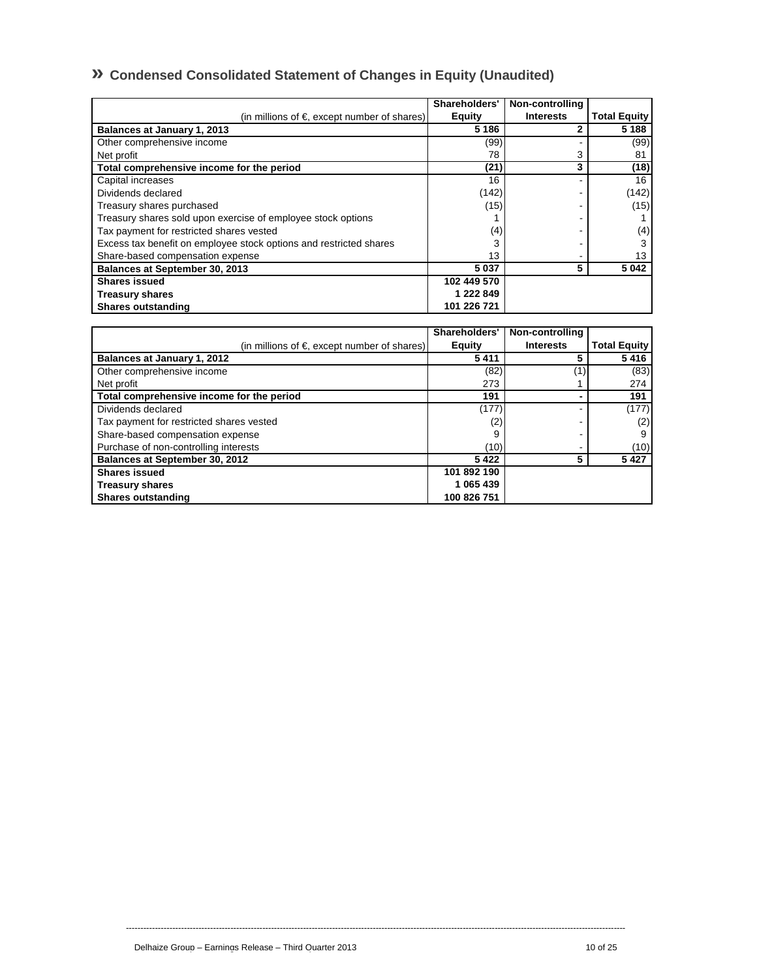## **» Condensed Consolidated Statement of Changes in Equity (Unaudited)**

|                                                                    | Shareholders' | Non-controlling  |                     |
|--------------------------------------------------------------------|---------------|------------------|---------------------|
| (in millions of $\epsilon$ , except number of shares)              | Equity        | <b>Interests</b> | <b>Total Equity</b> |
| Balances at January 1, 2013                                        | 5 1 8 6       |                  | 5 1 8 8             |
| Other comprehensive income                                         | (99)          |                  | (99)                |
| Net profit                                                         | 78            | 3                | 81                  |
| Total comprehensive income for the period                          | (21)          | 3                | (18)                |
| Capital increases                                                  | 16            |                  | 16                  |
| Dividends declared                                                 | (142)         |                  | (142)               |
| Treasury shares purchased                                          | (15)          |                  | (15)                |
| Treasury shares sold upon exercise of employee stock options       |               |                  |                     |
| Tax payment for restricted shares vested                           | (4)           |                  | (4)                 |
| Excess tax benefit on employee stock options and restricted shares | 3             |                  |                     |
| Share-based compensation expense                                   | 13            |                  | 13                  |
| Balances at September 30, 2013                                     | 5037          | 5                | 5 0 4 2             |
| <b>Shares issued</b>                                               | 102 449 570   |                  |                     |
| <b>Treasury shares</b>                                             | 1 222 849     |                  |                     |
| <b>Shares outstanding</b>                                          | 101 226 721   |                  |                     |

|                                                       | Shareholders' | Non-controlling  |                     |
|-------------------------------------------------------|---------------|------------------|---------------------|
| (in millions of $\epsilon$ , except number of shares) | Equity        | <b>Interests</b> | <b>Total Equity</b> |
| Balances at January 1, 2012                           | 5411          |                  | 5416                |
| Other comprehensive income                            | (82)          |                  | (83)                |
| Net profit                                            | 273           |                  | 274                 |
| Total comprehensive income for the period             | 191           |                  | 191                 |
| Dividends declared                                    | (177)         |                  | (177)               |
| Tax payment for restricted shares vested              | (2)           |                  | (2)                 |
| Share-based compensation expense                      | 9             |                  | 9                   |
| Purchase of non-controlling interests                 | (10)          |                  | (10)                |
| Balances at September 30, 2012                        | 5422          | 5                | 5427                |
| <b>Shares issued</b>                                  | 101 892 190   |                  |                     |
| <b>Treasury shares</b>                                | 1 065 439     |                  |                     |
| <b>Shares outstanding</b>                             | 100 826 751   |                  |                     |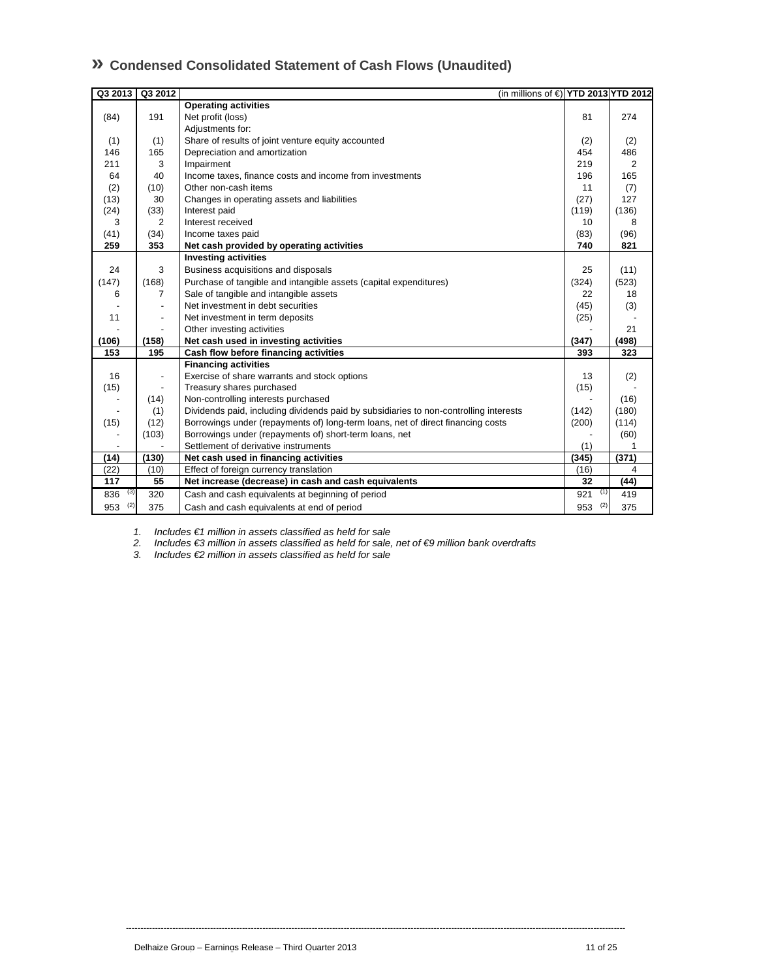## **» Condensed Consolidated Statement of Cash Flows (Unaudited)**

| Q3 2013    | Q3 2012                  | (in millions of €) YTD 2013 YTD 2012                                                  |            |                |
|------------|--------------------------|---------------------------------------------------------------------------------------|------------|----------------|
|            |                          | <b>Operating activities</b>                                                           |            |                |
| (84)       | 191                      | Net profit (loss)                                                                     | 81         | 274            |
|            |                          | Adjustments for:                                                                      |            |                |
| (1)        | (1)                      | Share of results of joint venture equity accounted                                    | (2)        | (2)            |
| 146        | 165                      | Depreciation and amortization                                                         | 454        | 486            |
| 211        | 3                        | Impairment                                                                            | 219        | $\overline{2}$ |
| 64         | 40                       | Income taxes, finance costs and income from investments                               | 196        | 165            |
| (2)        | (10)                     | Other non-cash items                                                                  | 11         | (7)            |
| (13)       | 30                       | Changes in operating assets and liabilities                                           | (27)       | 127            |
| (24)       | (33)                     | Interest paid                                                                         | (119)      | (136)          |
| 3          | $\overline{2}$           | Interest received                                                                     | 10         | 8              |
| (41)       | (34)                     | Income taxes paid                                                                     | (83)       | (96)           |
| 259        | 353                      | Net cash provided by operating activities                                             | 740        | 821            |
|            |                          | <b>Investing activities</b>                                                           |            |                |
| 24         | 3                        | Business acquisitions and disposals                                                   | 25         | (11)           |
| (147)      | (168)                    | Purchase of tangible and intangible assets (capital expenditures)                     | (324)      | (523)          |
| 6          | 7                        | Sale of tangible and intangible assets                                                | 22         | 18             |
|            | $\overline{\phantom{a}}$ | Net investment in debt securities                                                     | (45)       | (3)            |
| 11         | $\overline{\phantom{a}}$ | Net investment in term deposits                                                       | (25)       |                |
|            |                          | Other investing activities                                                            |            | 21             |
| (106)      | (158)                    | Net cash used in investing activities                                                 | (347)      | (498)          |
| 153        | 195                      | Cash flow before financing activities                                                 | 393        | 323            |
|            |                          | <b>Financing activities</b>                                                           |            |                |
| 16         | $\overline{\phantom{a}}$ | Exercise of share warrants and stock options                                          | 13         | (2)            |
| (15)       |                          | Treasury shares purchased                                                             | (15)       |                |
|            | (14)                     | Non-controlling interests purchased                                                   |            | (16)           |
|            | (1)                      | Dividends paid, including dividends paid by subsidiaries to non-controlling interests | (142)      | (180)          |
| (15)       | (12)                     | Borrowings under (repayments of) long-term loans, net of direct financing costs       | (200)      | (114)          |
|            | (103)                    | Borrowings under (repayments of) short-term loans, net                                |            | (60)           |
|            |                          | Settlement of derivative instruments                                                  | (1)        |                |
| (14)       | (130)                    | Net cash used in financing activities                                                 | (345)      | (371)          |
| (22)       | (10)                     | Effect of foreign currency translation                                                | (16)       | 4              |
| 117        | 55                       | Net increase (decrease) in cash and cash equivalents                                  | 32         | (44)           |
| (3)<br>836 | 320                      | Cash and cash equivalents at beginning of period                                      | (1)<br>921 | 419            |
| (2)<br>953 | 375                      | Cash and cash equivalents at end of period                                            | (2)<br>953 | 375            |

*1. Includes €1 million in assets classified as held for sale* 

*2. Includes €3 million in assets classified as held for sale, net of €9 million bank overdrafts* 

----------------------------------------------------------------------------------------------------------------------------------------------------------------------------

*3. Includes €2 million in assets classified as held for sale*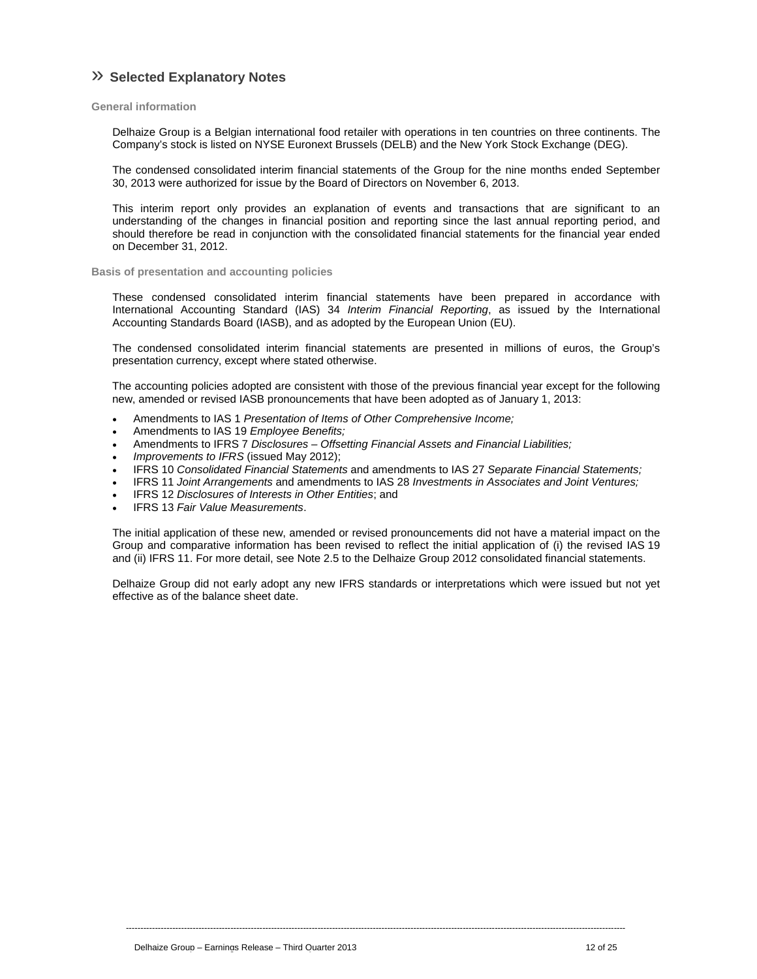## » **Selected Explanatory Notes**

**General information** 

Delhaize Group is a Belgian international food retailer with operations in ten countries on three continents. The Company's stock is listed on NYSE Euronext Brussels (DELB) and the New York Stock Exchange (DEG).

The condensed consolidated interim financial statements of the Group for the nine months ended September 30, 2013 were authorized for issue by the Board of Directors on November 6, 2013.

This interim report only provides an explanation of events and transactions that are significant to an understanding of the changes in financial position and reporting since the last annual reporting period, and should therefore be read in conjunction with the consolidated financial statements for the financial year ended on December 31, 2012.

**Basis of presentation and accounting policies** 

These condensed consolidated interim financial statements have been prepared in accordance with International Accounting Standard (IAS) 34 *Interim Financial Reporting*, as issued by the International Accounting Standards Board (IASB), and as adopted by the European Union (EU).

The condensed consolidated interim financial statements are presented in millions of euros, the Group's presentation currency, except where stated otherwise.

The accounting policies adopted are consistent with those of the previous financial year except for the following new, amended or revised IASB pronouncements that have been adopted as of January 1, 2013:

- Amendments to IAS 1 *Presentation of Items of Other Comprehensive Income;*
- Amendments to IAS 19 *Employee Benefits;*
- Amendments to IFRS 7 *Disclosures Offsetting Financial Assets and Financial Liabilities;*
- *Improvements to IFRS* (issued May 2012);
- IFRS 10 *Consolidated Financial Statements* and amendments to IAS 27 *Separate Financial Statements;*
- IFRS 11 *Joint Arrangements* and amendments to IAS 28 *Investments in Associates and Joint Ventures;*
- IFRS 12 *Disclosures of Interests in Other Entities*; and
- IFRS 13 *Fair Value Measurements*.

The initial application of these new, amended or revised pronouncements did not have a material impact on the Group and comparative information has been revised to reflect the initial application of (i) the revised IAS 19 and (ii) IFRS 11. For more detail, see Note 2.5 to the Delhaize Group 2012 consolidated financial statements.

Delhaize Group did not early adopt any new IFRS standards or interpretations which were issued but not yet effective as of the balance sheet date.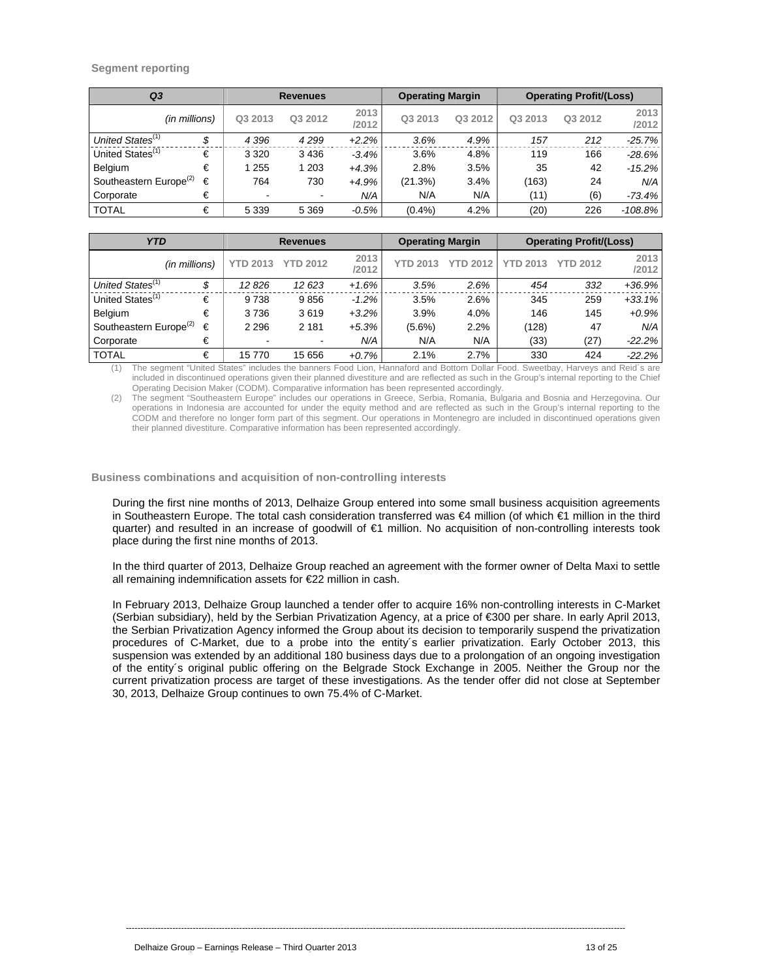## **Segment reporting**

| Q <sub>3</sub>                     |               | <b>Revenues</b> |                |               | <b>Operating Margin</b> |         | <b>Operating Profit/(Loss)</b> |         |               |
|------------------------------------|---------------|-----------------|----------------|---------------|-------------------------|---------|--------------------------------|---------|---------------|
|                                    | (in millions) | Q3 2013         | Q3 2012        | 2013<br>/2012 | Q3 2013                 | Q3 2012 | Q3 2013                        | Q3 2012 | 2013<br>/2012 |
| United States <sup>(1)</sup>       | \$            | 4 3 9 6         | 4299           | $+2.2%$       | 3.6%                    | 4.9%    | 157                            | 212     | $-25.7\%$     |
| United States <sup>(1)</sup>       | €             | 3 3 2 0         | 3436           | $-3.4%$       | 3.6%                    | 4.8%    | 119                            | 166     | -28.6%        |
| Belgium                            | €             | 255             | 1 203          | $+4.3%$       | 2.8%                    | 3.5%    | 35                             | 42      | $-15.2\%$     |
| Southeastern Europe <sup>(2)</sup> | €             | 764             | 730            | $+4.9%$       | (21.3%)                 | 3.4%    | (163)                          | 24      | N/A           |
| Corporate                          | €             | $\,$            | $\blacksquare$ | N/A           | N/A                     | N/A     | (11)                           | (6)     | -73.4%        |
| <b>TOTAL</b>                       | €             | 5 3 3 9         | 5 3 6 9        | $-0.5\%$      | (0.4%                   | 4.2%    | (20)                           | 226     | $-108.8\%$    |

| <b>YTD</b>                         | <b>Revenues</b> |                 |                 | <b>Operating Margin</b> |                 | <b>Operating Profit/(Loss)</b> |                 |                 |               |
|------------------------------------|-----------------|-----------------|-----------------|-------------------------|-----------------|--------------------------------|-----------------|-----------------|---------------|
|                                    | (in millions)   | <b>YTD 2013</b> | <b>YTD 2012</b> | 2013<br>/2012           | <b>YTD 2013</b> | <b>YTD 2012</b>                | <b>YTD 2013</b> | <b>YTD 2012</b> | 2013<br>/2012 |
| United States <sup>(1)</sup>       | \$              | 12826           | 12 623          | $+1.6%$                 | 3.5%            | 2.6%                           | 454             | 332             | $+36.9%$      |
| United States <sup>(1)</sup>       | €               | 9738            | 9856            | $-1.2\%$                | 3.5%            | 2.6%                           | 345             | 259             | $+33.1%$      |
| Belgium                            | €               | 3736            | 3619            | $+3.2%$                 | 3.9%            | 4.0%                           | 146             | 145             | $+0.9\%$      |
| Southeastern Europe <sup>(2)</sup> | €               | 2 2 9 6         | 2 1 8 1         | $+5.3%$                 | $(5.6\%)$       | 2.2%                           | (128)           | 47              | N/A           |
| Corporate                          | €               |                 |                 | N/A                     | N/A             | N/A                            | (33)            | (27)            | $-22.2\%$     |
| <b>TOTAL</b>                       | €               | 15770           | 15 656          | $+0.7%$                 | 2.1%            | 2.7%                           | 330             | 424             | $-22.2%$      |

The segment "United States" includes the banners Food Lion, Hannaford and Bottom Dollar Food. Sweetbay, Harveys and Reid's are included in discontinued operations given their planned divestiture and are reflected as such in the Group's internal reporting to the Chief Operating Decision Maker (CODM). Comparative information has been represented accordingly.

(2) The segment "Southeastern Europe" includes our operations in Greece, Serbia, Romania, Bulgaria and Bosnia and Herzegovina. Our operations in Indonesia are accounted for under the equity method and are reflected as such in the Group's internal reporting to the CODM and therefore no longer form part of this segment. Our operations in Montenegro are included in discontinued operations given their planned divestiture. Comparative information has been represented accordingly.

**Business combinations and acquisition of non-controlling interests** 

During the first nine months of 2013, Delhaize Group entered into some small business acquisition agreements in Southeastern Europe. The total cash consideration transferred was €4 million (of which €1 million in the third quarter) and resulted in an increase of goodwill of €1 million. No acquisition of non-controlling interests took place during the first nine months of 2013.

In the third quarter of 2013, Delhaize Group reached an agreement with the former owner of Delta Maxi to settle all remaining indemnification assets for €22 million in cash.

In February 2013, Delhaize Group launched a tender offer to acquire 16% non-controlling interests in C-Market (Serbian subsidiary), held by the Serbian Privatization Agency, at a price of €300 per share. In early April 2013, the Serbian Privatization Agency informed the Group about its decision to temporarily suspend the privatization procedures of C-Market, due to a probe into the entity´s earlier privatization. Early October 2013, this suspension was extended by an additional 180 business days due to a prolongation of an ongoing investigation of the entity´s original public offering on the Belgrade Stock Exchange in 2005. Neither the Group nor the current privatization process are target of these investigations. As the tender offer did not close at September 30, 2013, Delhaize Group continues to own 75.4% of C-Market.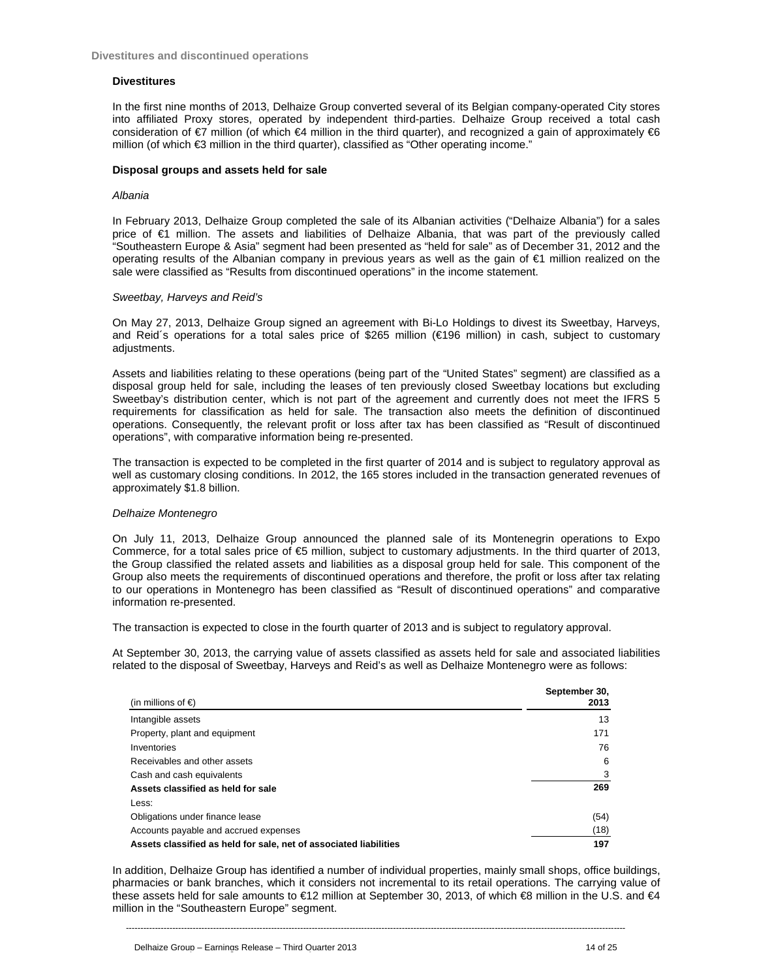### **Divestitures**

In the first nine months of 2013, Delhaize Group converted several of its Belgian company-operated City stores into affiliated Proxy stores, operated by independent third-parties. Delhaize Group received a total cash consideration of €7 million (of which €4 million in the third quarter), and recognized a gain of approximately €6 million (of which €3 million in the third quarter), classified as "Other operating income."

### **Disposal groups and assets held for sale**

### *Albania*

In February 2013, Delhaize Group completed the sale of its Albanian activities ("Delhaize Albania") for a sales price of €1 million. The assets and liabilities of Delhaize Albania, that was part of the previously called "Southeastern Europe & Asia" segment had been presented as "held for sale" as of December 31, 2012 and the operating results of the Albanian company in previous years as well as the gain of €1 million realized on the sale were classified as "Results from discontinued operations" in the income statement.

### *Sweetbay, Harveys and Reid's*

On May 27, 2013, Delhaize Group signed an agreement with Bi-Lo Holdings to divest its Sweetbay, Harveys, and Reid´s operations for a total sales price of \$265 million (€196 million) in cash, subject to customary adjustments.

Assets and liabilities relating to these operations (being part of the "United States" segment) are classified as a disposal group held for sale, including the leases of ten previously closed Sweetbay locations but excluding Sweetbay's distribution center, which is not part of the agreement and currently does not meet the IFRS 5 requirements for classification as held for sale. The transaction also meets the definition of discontinued operations. Consequently, the relevant profit or loss after tax has been classified as "Result of discontinued operations", with comparative information being re-presented.

The transaction is expected to be completed in the first quarter of 2014 and is subject to regulatory approval as well as customary closing conditions. In 2012, the 165 stores included in the transaction generated revenues of approximately \$1.8 billion.

### *Delhaize Montenegro*

On July 11, 2013, Delhaize Group announced the planned sale of its Montenegrin operations to Expo Commerce, for a total sales price of €5 million, subject to customary adjustments. In the third quarter of 2013, the Group classified the related assets and liabilities as a disposal group held for sale. This component of the Group also meets the requirements of discontinued operations and therefore, the profit or loss after tax relating to our operations in Montenegro has been classified as "Result of discontinued operations" and comparative information re-presented.

The transaction is expected to close in the fourth quarter of 2013 and is subject to regulatory approval.

At September 30, 2013, the carrying value of assets classified as assets held for sale and associated liabilities related to the disposal of Sweetbay, Harveys and Reid's as well as Delhaize Montenegro were as follows:

| (in millions of $\epsilon$ )                                      | September 30,<br>2013 |
|-------------------------------------------------------------------|-----------------------|
| Intangible assets                                                 | 13                    |
| Property, plant and equipment                                     | 171                   |
| Inventories                                                       | 76                    |
| Receivables and other assets                                      | 6                     |
| Cash and cash equivalents                                         | 3                     |
| Assets classified as held for sale                                | 269                   |
| Less:                                                             |                       |
| Obligations under finance lease                                   | (54)                  |
| Accounts payable and accrued expenses                             | (18)                  |
| Assets classified as held for sale, net of associated liabilities | 197                   |

In addition, Delhaize Group has identified a number of individual properties, mainly small shops, office buildings, pharmacies or bank branches, which it considers not incremental to its retail operations. The carrying value of these assets held for sale amounts to €12 million at September 30, 2013, of which €8 million in the U.S. and €4 million in the "Southeastern Europe" segment.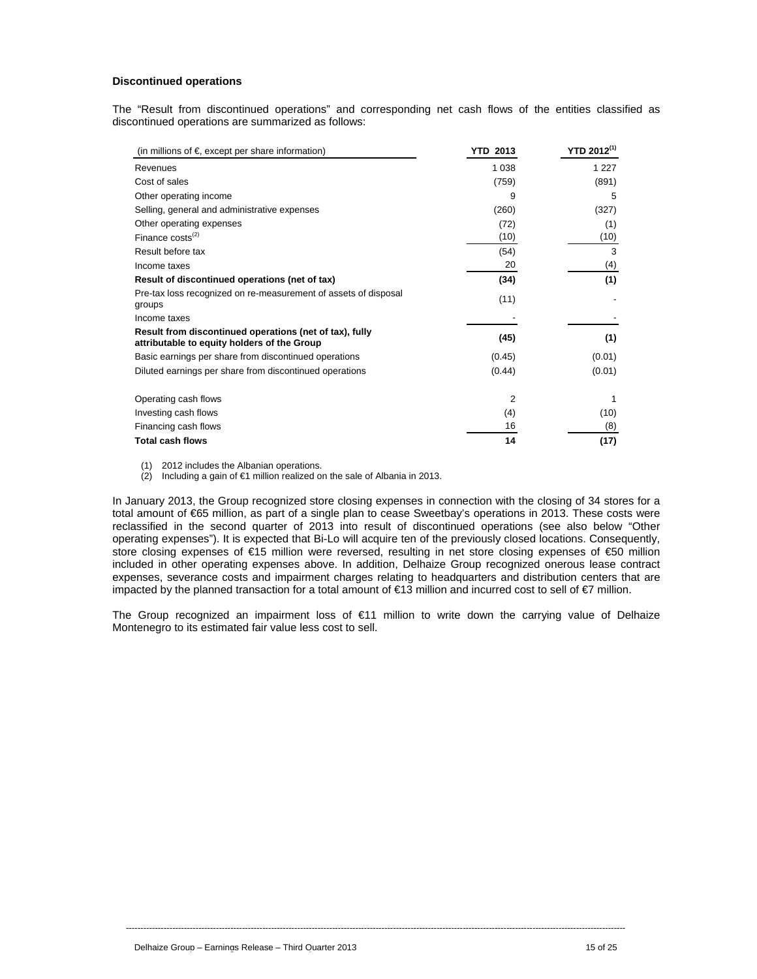## **Discontinued operations**

The "Result from discontinued operations" and corresponding net cash flows of the entities classified as discontinued operations are summarized as follows:

| (in millions of $\epsilon$ , except per share information)                                             | YTD 2013 | $YTD 2012^{(1)}$ |
|--------------------------------------------------------------------------------------------------------|----------|------------------|
| Revenues                                                                                               | 1 0 3 8  | 1 2 2 7          |
| Cost of sales                                                                                          | (759)    | (891)            |
| Other operating income                                                                                 | 9        | 5                |
| Selling, general and administrative expenses                                                           | (260)    | (327)            |
| Other operating expenses                                                                               | (72)     | (1)              |
| Finance costs $(2)$                                                                                    | (10)     | (10)             |
| Result before tax                                                                                      | (54)     | 3                |
| Income taxes                                                                                           | 20       | (4)              |
| Result of discontinued operations (net of tax)                                                         | (34)     | (1)              |
| Pre-tax loss recognized on re-measurement of assets of disposal<br>groups                              | (11)     |                  |
| Income taxes                                                                                           |          |                  |
| Result from discontinued operations (net of tax), fully<br>attributable to equity holders of the Group | (45)     | (1)              |
| Basic earnings per share from discontinued operations                                                  | (0.45)   | (0.01)           |
| Diluted earnings per share from discontinued operations                                                | (0.44)   | (0.01)           |
| Operating cash flows                                                                                   | 2        |                  |
| Investing cash flows                                                                                   | (4)      | (10)             |
| Financing cash flows                                                                                   | 16       | (8)              |
| <b>Total cash flows</b>                                                                                | 14       | (17)             |

(1) 2012 includes the Albanian operations.

(2) Including a gain of  $\epsilon$ 1 million realized on the sale of Albania in 2013.

In January 2013, the Group recognized store closing expenses in connection with the closing of 34 stores for a total amount of €65 million, as part of a single plan to cease Sweetbay's operations in 2013. These costs were reclassified in the second quarter of 2013 into result of discontinued operations (see also below "Other operating expenses"). It is expected that Bi-Lo will acquire ten of the previously closed locations. Consequently, store closing expenses of €15 million were reversed, resulting in net store closing expenses of €50 million included in other operating expenses above. In addition, Delhaize Group recognized onerous lease contract expenses, severance costs and impairment charges relating to headquarters and distribution centers that are impacted by the planned transaction for a total amount of €13 million and incurred cost to sell of €7 million.

The Group recognized an impairment loss of €11 million to write down the carrying value of Delhaize Montenegro to its estimated fair value less cost to sell.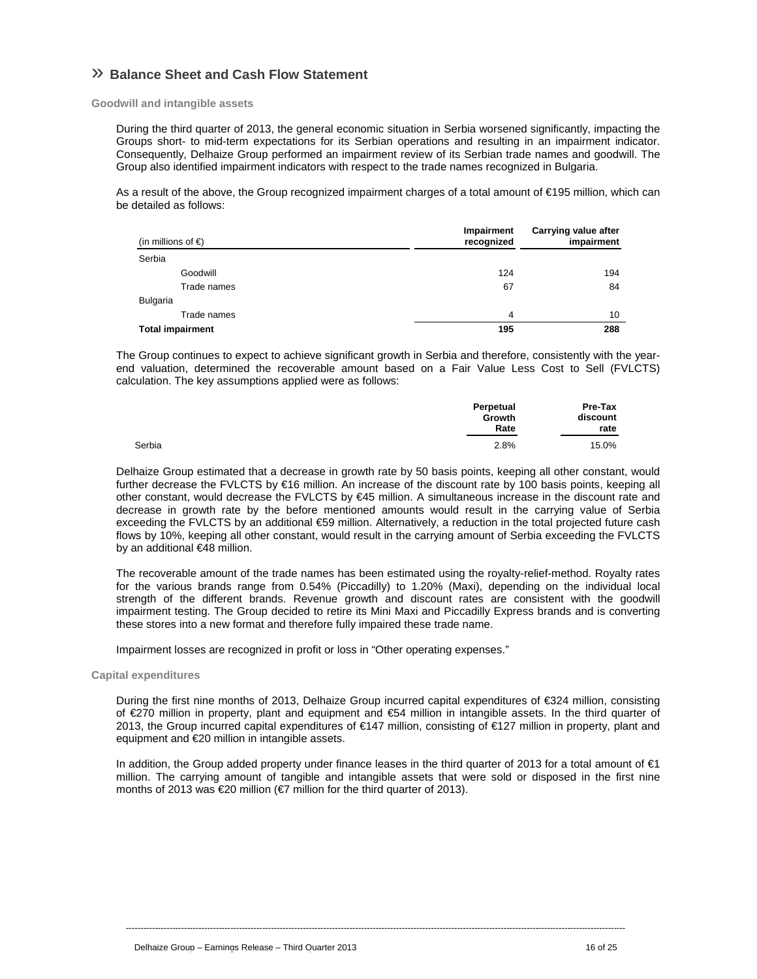## » **Balance Sheet and Cash Flow Statement**

**Goodwill and intangible assets** 

During the third quarter of 2013, the general economic situation in Serbia worsened significantly, impacting the Groups short- to mid-term expectations for its Serbian operations and resulting in an impairment indicator. Consequently, Delhaize Group performed an impairment review of its Serbian trade names and goodwill. The Group also identified impairment indicators with respect to the trade names recognized in Bulgaria.

As a result of the above, the Group recognized impairment charges of a total amount of €195 million, which can be detailed as follows:

| (in millions of $\epsilon$ ) | Impairment<br>recognized | Carrying value after<br>impairment |  |
|------------------------------|--------------------------|------------------------------------|--|
| Serbia                       |                          |                                    |  |
| Goodwill                     | 124                      | 194                                |  |
| Trade names                  | 67                       | 84                                 |  |
| Bulgaria                     |                          |                                    |  |
| Trade names                  | 4                        | 10                                 |  |
| <b>Total impairment</b>      | 195                      | 288                                |  |

The Group continues to expect to achieve significant growth in Serbia and therefore, consistently with the yearend valuation, determined the recoverable amount based on a Fair Value Less Cost to Sell (FVLCTS) calculation. The key assumptions applied were as follows:

|        | Perpetual<br>Growth<br>Rate |       |
|--------|-----------------------------|-------|
| Serbia | 2.8%                        | 15.0% |

Delhaize Group estimated that a decrease in growth rate by 50 basis points, keeping all other constant, would further decrease the FVLCTS by €16 million. An increase of the discount rate by 100 basis points, keeping all other constant, would decrease the FVLCTS by €45 million. A simultaneous increase in the discount rate and decrease in growth rate by the before mentioned amounts would result in the carrying value of Serbia exceeding the FVLCTS by an additional €59 million. Alternatively, a reduction in the total projected future cash flows by 10%, keeping all other constant, would result in the carrying amount of Serbia exceeding the FVLCTS by an additional €48 million.

The recoverable amount of the trade names has been estimated using the royalty-relief-method. Royalty rates for the various brands range from 0.54% (Piccadilly) to 1.20% (Maxi), depending on the individual local strength of the different brands. Revenue growth and discount rates are consistent with the goodwill impairment testing. The Group decided to retire its Mini Maxi and Piccadilly Express brands and is converting these stores into a new format and therefore fully impaired these trade name.

Impairment losses are recognized in profit or loss in "Other operating expenses."

**Capital expenditures** 

During the first nine months of 2013, Delhaize Group incurred capital expenditures of €324 million, consisting of €270 million in property, plant and equipment and €54 million in intangible assets. In the third quarter of 2013, the Group incurred capital expenditures of €147 million, consisting of €127 million in property, plant and equipment and €20 million in intangible assets.

In addition, the Group added property under finance leases in the third quarter of 2013 for a total amount of €1 million. The carrying amount of tangible and intangible assets that were sold or disposed in the first nine months of 2013 was €20 million (€7 million for the third quarter of 2013).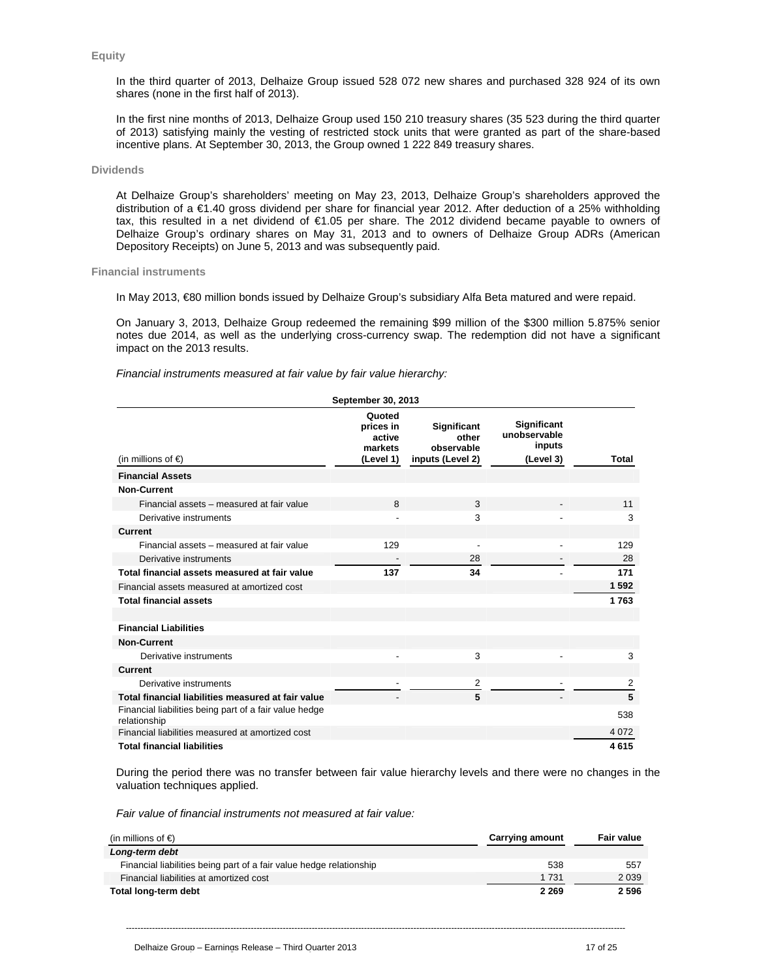### **Equity**

In the third quarter of 2013, Delhaize Group issued 528 072 new shares and purchased 328 924 of its own shares (none in the first half of 2013).

In the first nine months of 2013, Delhaize Group used 150 210 treasury shares (35 523 during the third quarter of 2013) satisfying mainly the vesting of restricted stock units that were granted as part of the share-based incentive plans. At September 30, 2013, the Group owned 1 222 849 treasury shares.

## **Dividends**

At Delhaize Group's shareholders' meeting on May 23, 2013, Delhaize Group's shareholders approved the distribution of a €1.40 gross dividend per share for financial year 2012. After deduction of a 25% withholding tax, this resulted in a net dividend of €1.05 per share. The 2012 dividend became payable to owners of Delhaize Group's ordinary shares on May 31, 2013 and to owners of Delhaize Group ADRs (American Depository Receipts) on June 5, 2013 and was subsequently paid.

## **Financial instruments**

In May 2013, €80 million bonds issued by Delhaize Group's subsidiary Alfa Beta matured and were repaid.

On January 3, 2013, Delhaize Group redeemed the remaining \$99 million of the \$300 million 5.875% senior notes due 2014, as well as the underlying cross-currency swap. The redemption did not have a significant impact on the 2013 results.

*Financial instruments measured at fair value by fair value hierarchy:*

| September 30, 2013                                                     |                                                       |                                                               |                                                    |         |  |  |  |
|------------------------------------------------------------------------|-------------------------------------------------------|---------------------------------------------------------------|----------------------------------------------------|---------|--|--|--|
| (in millions of $\epsilon$ )                                           | Quoted<br>prices in<br>active<br>markets<br>(Level 1) | <b>Significant</b><br>other<br>observable<br>inputs (Level 2) | Significant<br>unobservable<br>inputs<br>(Level 3) | Total   |  |  |  |
| <b>Financial Assets</b>                                                |                                                       |                                                               |                                                    |         |  |  |  |
| <b>Non-Current</b>                                                     |                                                       |                                                               |                                                    |         |  |  |  |
| Financial assets - measured at fair value                              | 8                                                     | 3                                                             |                                                    | 11      |  |  |  |
| Derivative instruments                                                 | $\overline{a}$                                        | 3                                                             |                                                    | 3       |  |  |  |
| <b>Current</b>                                                         |                                                       |                                                               |                                                    |         |  |  |  |
| Financial assets - measured at fair value                              | 129                                                   | $\overline{\phantom{a}}$                                      |                                                    | 129     |  |  |  |
| Derivative instruments                                                 | $\qquad \qquad \blacksquare$                          | 28                                                            |                                                    | 28      |  |  |  |
| Total financial assets measured at fair value                          | 137                                                   | 34                                                            |                                                    | 171     |  |  |  |
| Financial assets measured at amortized cost                            |                                                       |                                                               |                                                    | 1592    |  |  |  |
| <b>Total financial assets</b>                                          |                                                       |                                                               |                                                    | 1763    |  |  |  |
|                                                                        |                                                       |                                                               |                                                    |         |  |  |  |
| <b>Financial Liabilities</b>                                           |                                                       |                                                               |                                                    |         |  |  |  |
| <b>Non-Current</b>                                                     |                                                       |                                                               |                                                    |         |  |  |  |
| Derivative instruments                                                 |                                                       | 3                                                             |                                                    | 3       |  |  |  |
| <b>Current</b>                                                         |                                                       |                                                               |                                                    |         |  |  |  |
| Derivative instruments                                                 | $\overline{\phantom{a}}$                              | 2                                                             | ٠                                                  | 2       |  |  |  |
| Total financial liabilities measured at fair value                     |                                                       | 5                                                             |                                                    | 5       |  |  |  |
| Financial liabilities being part of a fair value hedge<br>relationship |                                                       |                                                               |                                                    | 538     |  |  |  |
| Financial liabilities measured at amortized cost                       |                                                       |                                                               |                                                    | 4 0 7 2 |  |  |  |
| <b>Total financial liabilities</b>                                     |                                                       |                                                               |                                                    | 4615    |  |  |  |

During the period there was no transfer between fair value hierarchy levels and there were no changes in the valuation techniques applied.

*Fair value of financial instruments not measured at fair value:* 

| (in millions of €)<br><b>Carrying amount</b>                        |         | <b>Fair value</b> |
|---------------------------------------------------------------------|---------|-------------------|
| Long-term debt                                                      |         |                   |
| Financial liabilities being part of a fair value hedge relationship | 538     | 557               |
| Financial liabilities at amortized cost                             | 1 731   | 2 0 3 9           |
| Total long-term debt                                                | 2 2 6 9 | 2 5 9 6           |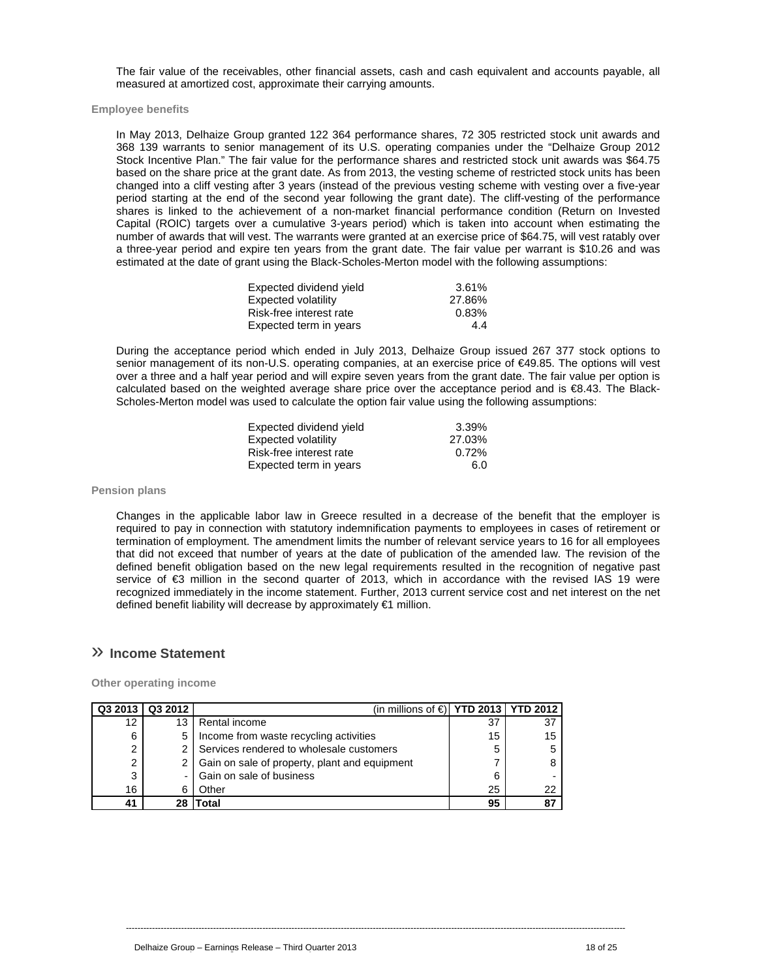The fair value of the receivables, other financial assets, cash and cash equivalent and accounts payable, all measured at amortized cost, approximate their carrying amounts.

**Employee benefits** 

In May 2013, Delhaize Group granted 122 364 performance shares, 72 305 restricted stock unit awards and 368 139 warrants to senior management of its U.S. operating companies under the "Delhaize Group 2012 Stock Incentive Plan." The fair value for the performance shares and restricted stock unit awards was \$64.75 based on the share price at the grant date. As from 2013, the vesting scheme of restricted stock units has been changed into a cliff vesting after 3 years (instead of the previous vesting scheme with vesting over a five-year period starting at the end of the second year following the grant date). The cliff-vesting of the performance shares is linked to the achievement of a non-market financial performance condition (Return on Invested Capital (ROIC) targets over a cumulative 3-years period) which is taken into account when estimating the number of awards that will vest. The warrants were granted at an exercise price of \$64.75, will vest ratably over a three-year period and expire ten years from the grant date. The fair value per warrant is \$10.26 and was estimated at the date of grant using the Black-Scholes-Merton model with the following assumptions:

| Expected dividend yield | 3.61%  |
|-------------------------|--------|
| Expected volatility     | 27.86% |
| Risk-free interest rate | 0.83%  |
| Expected term in years  | 4.4    |

During the acceptance period which ended in July 2013, Delhaize Group issued 267 377 stock options to senior management of its non-U.S. operating companies, at an exercise price of €49.85. The options will vest over a three and a half year period and will expire seven years from the grant date. The fair value per option is calculated based on the weighted average share price over the acceptance period and is €8.43. The Black-Scholes-Merton model was used to calculate the option fair value using the following assumptions:

| Expected dividend vield | 3.39%    |
|-------------------------|----------|
| Expected volatility     | 27.03%   |
| Risk-free interest rate | $0.72\%$ |
| Expected term in years  | 6.0      |

### **Pension plans**

Changes in the applicable labor law in Greece resulted in a decrease of the benefit that the employer is required to pay in connection with statutory indemnification payments to employees in cases of retirement or termination of employment. The amendment limits the number of relevant service years to 16 for all employees that did not exceed that number of years at the date of publication of the amended law. The revision of the defined benefit obligation based on the new legal requirements resulted in the recognition of negative past service of €3 million in the second quarter of 2013, which in accordance with the revised IAS 19 were recognized immediately in the income statement. Further, 2013 current service cost and net interest on the net defined benefit liability will decrease by approximately €1 million.

----------------------------------------------------------------------------------------------------------------------------------------------------------------------------

## » **Income Statement**

**Other operating income** 

| Q3 2013        | Q3 2012 | (in millions of $\bigoplus$   YTD 2013   YTD 2012 |    |    |
|----------------|---------|---------------------------------------------------|----|----|
| 12             | 13      | Rental income                                     | 37 |    |
| 6              | 5       | Income from waste recycling activities            | 15 | 15 |
| 2              |         | Services rendered to wholesale customers          | 5  |    |
| $\overline{2}$ |         | 2   Gain on sale of property, plant and equipment |    |    |
| 3              |         | Gain on sale of business                          | 6  |    |
| 16             | 6       | Other                                             | 25 | 22 |
| 41             |         | `otal                                             | 95 |    |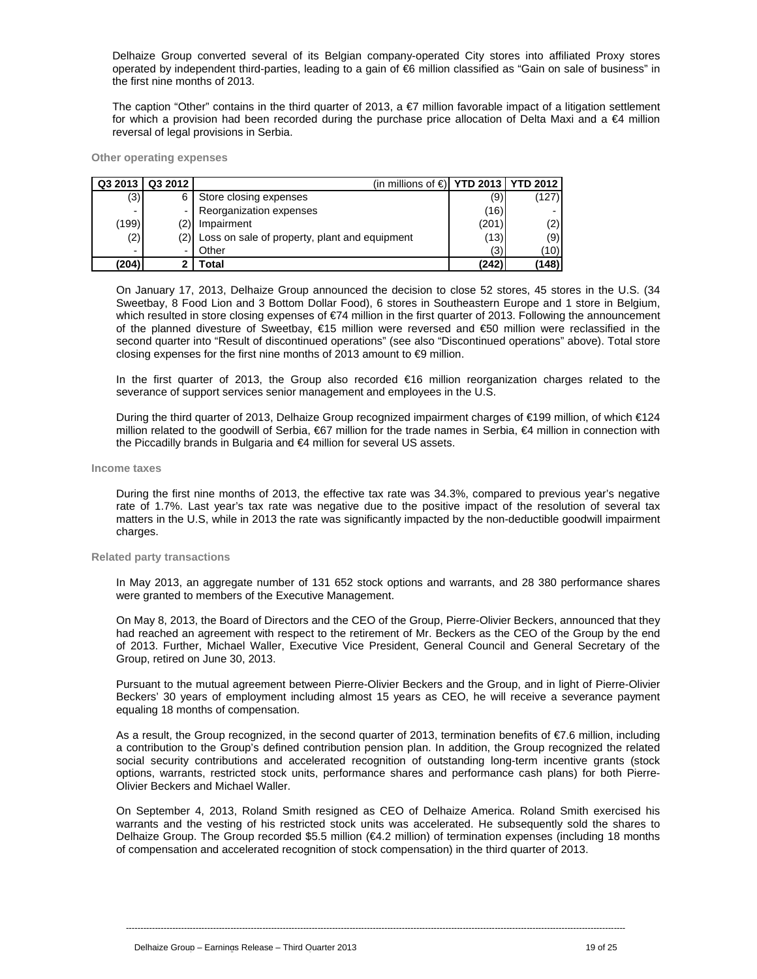Delhaize Group converted several of its Belgian company-operated City stores into affiliated Proxy stores operated by independent third-parties, leading to a gain of €6 million classified as "Gain on sale of business" in the first nine months of 2013.

The caption "Other" contains in the third quarter of 2013, a  $\epsilon$ 7 million favorable impact of a litigation settlement for which a provision had been recorded during the purchase price allocation of Delta Maxi and a €4 million reversal of legal provisions in Serbia.

### **Other operating expenses**

| Q3 2013                  | Q3 2012 | (in millions of € <b>  YTD 2013   YTD 2012  </b> |       |       |
|--------------------------|---------|--------------------------------------------------|-------|-------|
| (3)                      |         | Store closing expenses                           | (9)   | (127) |
| $\overline{\phantom{0}}$ |         | Reorganization expenses                          | (16)  | -     |
| (199)                    | (2)     | Impairment                                       | (201) | (2)   |
| (2)                      | (2)     | Loss on sale of property, plant and equipment    | (13)  | (9)   |
| $\overline{\phantom{0}}$ |         | Other                                            | (3)   | (10)  |
| (204)                    |         | Гоtal                                            | (242) | (148) |

On January 17, 2013, Delhaize Group announced the decision to close 52 stores, 45 stores in the U.S. (34 Sweetbay, 8 Food Lion and 3 Bottom Dollar Food), 6 stores in Southeastern Europe and 1 store in Belgium, which resulted in store closing expenses of €74 million in the first quarter of 2013. Following the announcement of the planned divesture of Sweetbay, €15 million were reversed and €50 million were reclassified in the second quarter into "Result of discontinued operations" (see also "Discontinued operations" above). Total store closing expenses for the first nine months of 2013 amount to  $\bigoplus$  million.

In the first quarter of 2013, the Group also recorded €16 million reorganization charges related to the severance of support services senior management and employees in the U.S.

During the third quarter of 2013, Delhaize Group recognized impairment charges of €199 million, of which €124 million related to the goodwill of Serbia, €67 million for the trade names in Serbia, €4 million in connection with the Piccadilly brands in Bulgaria and €4 million for several US assets.

### **Income taxes**

During the first nine months of 2013, the effective tax rate was 34.3%, compared to previous year's negative rate of 1.7%. Last year's tax rate was negative due to the positive impact of the resolution of several tax matters in the U.S, while in 2013 the rate was significantly impacted by the non-deductible goodwill impairment charges.

### **Related party transactions**

In May 2013, an aggregate number of 131 652 stock options and warrants, and 28 380 performance shares were granted to members of the Executive Management.

On May 8, 2013, the Board of Directors and the CEO of the Group, Pierre-Olivier Beckers, announced that they had reached an agreement with respect to the retirement of Mr. Beckers as the CEO of the Group by the end of 2013. Further, Michael Waller, Executive Vice President, General Council and General Secretary of the Group, retired on June 30, 2013.

Pursuant to the mutual agreement between Pierre-Olivier Beckers and the Group, and in light of Pierre-Olivier Beckers' 30 years of employment including almost 15 years as CEO, he will receive a severance payment equaling 18 months of compensation.

As a result, the Group recognized, in the second quarter of 2013, termination benefits of  $\epsilon$ 7.6 million, including a contribution to the Group's defined contribution pension plan. In addition, the Group recognized the related social security contributions and accelerated recognition of outstanding long-term incentive grants (stock options, warrants, restricted stock units, performance shares and performance cash plans) for both Pierre-Olivier Beckers and Michael Waller.

On September 4, 2013, Roland Smith resigned as CEO of Delhaize America. Roland Smith exercised his warrants and the vesting of his restricted stock units was accelerated. He subsequently sold the shares to Delhaize Group. The Group recorded \$5.5 million (€4.2 million) of termination expenses (including 18 months of compensation and accelerated recognition of stock compensation) in the third quarter of 2013.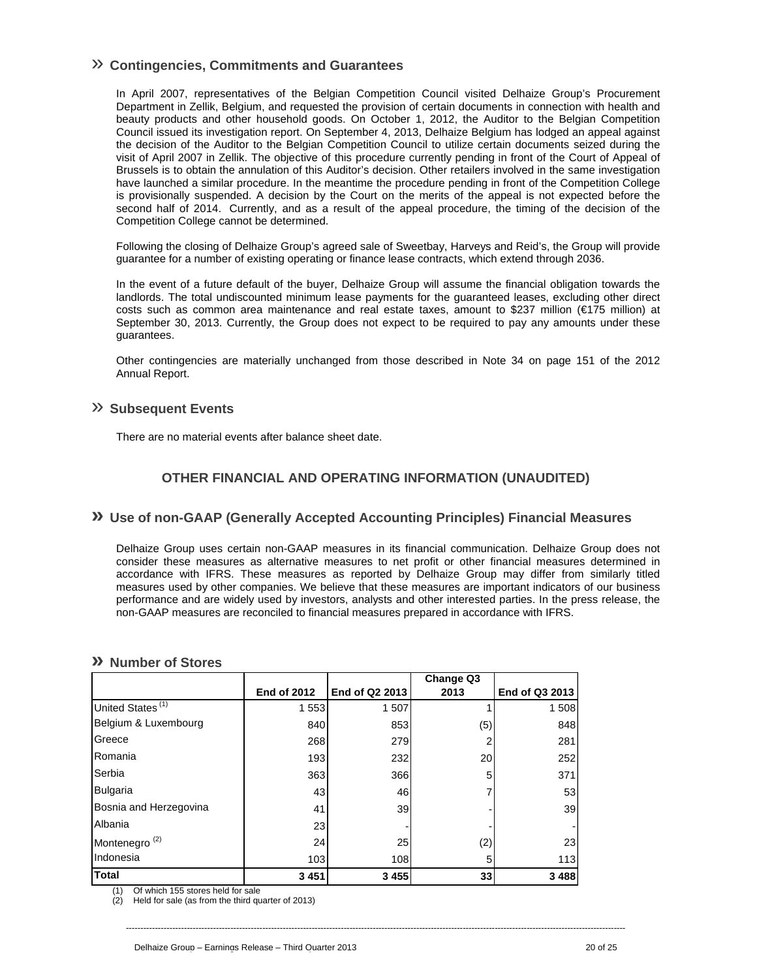## » **Contingencies, Commitments and Guarantees**

In April 2007, representatives of the Belgian Competition Council visited Delhaize Group's Procurement Department in Zellik, Belgium, and requested the provision of certain documents in connection with health and beauty products and other household goods. On October 1, 2012, the Auditor to the Belgian Competition Council issued its investigation report. On September 4, 2013, Delhaize Belgium has lodged an appeal against the decision of the Auditor to the Belgian Competition Council to utilize certain documents seized during the visit of April 2007 in Zellik. The objective of this procedure currently pending in front of the Court of Appeal of Brussels is to obtain the annulation of this Auditor's decision. Other retailers involved in the same investigation have launched a similar procedure. In the meantime the procedure pending in front of the Competition College is provisionally suspended. A decision by the Court on the merits of the appeal is not expected before the second half of 2014. Currently, and as a result of the appeal procedure, the timing of the decision of the Competition College cannot be determined.

Following the closing of Delhaize Group's agreed sale of Sweetbay, Harveys and Reid's, the Group will provide guarantee for a number of existing operating or finance lease contracts, which extend through 2036.

In the event of a future default of the buyer, Delhaize Group will assume the financial obligation towards the landlords. The total undiscounted minimum lease payments for the guaranteed leases, excluding other direct costs such as common area maintenance and real estate taxes, amount to \$237 million (€175 million) at September 30, 2013. Currently, the Group does not expect to be required to pay any amounts under these guarantees.

Other contingencies are materially unchanged from those described in Note 34 on page 151 of the 2012 Annual Report.

## » **Subsequent Events**

There are no material events after balance sheet date.

## **OTHER FINANCIAL AND OPERATING INFORMATION (UNAUDITED)**

## **» Use of non-GAAP (Generally Accepted Accounting Principles) Financial Measures**

Delhaize Group uses certain non-GAAP measures in its financial communication. Delhaize Group does not consider these measures as alternative measures to net profit or other financial measures determined in accordance with IFRS. These measures as reported by Delhaize Group may differ from similarly titled measures used by other companies. We believe that these measures are important indicators of our business performance and are widely used by investors, analysts and other interested parties. In the press release, the non-GAAP measures are reconciled to financial measures prepared in accordance with IFRS.

## **» Number of Stores**

|                              |                    |                | Change Q3 |                |
|------------------------------|--------------------|----------------|-----------|----------------|
|                              | <b>End of 2012</b> | End of Q2 2013 | 2013      | End of Q3 2013 |
| United States <sup>(1)</sup> | 1 5 5 3            | 1 507          |           | 1 508          |
| Belgium & Luxembourg         | 840                | 853            | (5)       | 848            |
| Greece                       | 268                | 279            |           | 281            |
| Romania                      | 193                | 232            | 20        | 252            |
| Serbia                       | 363                | 366            | 5         | 371            |
| <b>Bulgaria</b>              | 43                 | 46             |           | 53             |
| Bosnia and Herzegovina       | 41                 | 39             |           | 39             |
| Albania                      | 23                 |                |           |                |
| Montenegro <sup>(2)</sup>    | 24                 | 25             | (2)       | 23             |
| Indonesia                    | 103                | 108            |           | 113            |
| <b>Total</b>                 | 3 4 5 1            | 3 4 5 5        | 33        | 3 4 8 8        |

----------------------------------------------------------------------------------------------------------------------------------------------------------------------------

(1) Of which 155 stores held for sale

(2) Held for sale (as from the third quarter of 2013)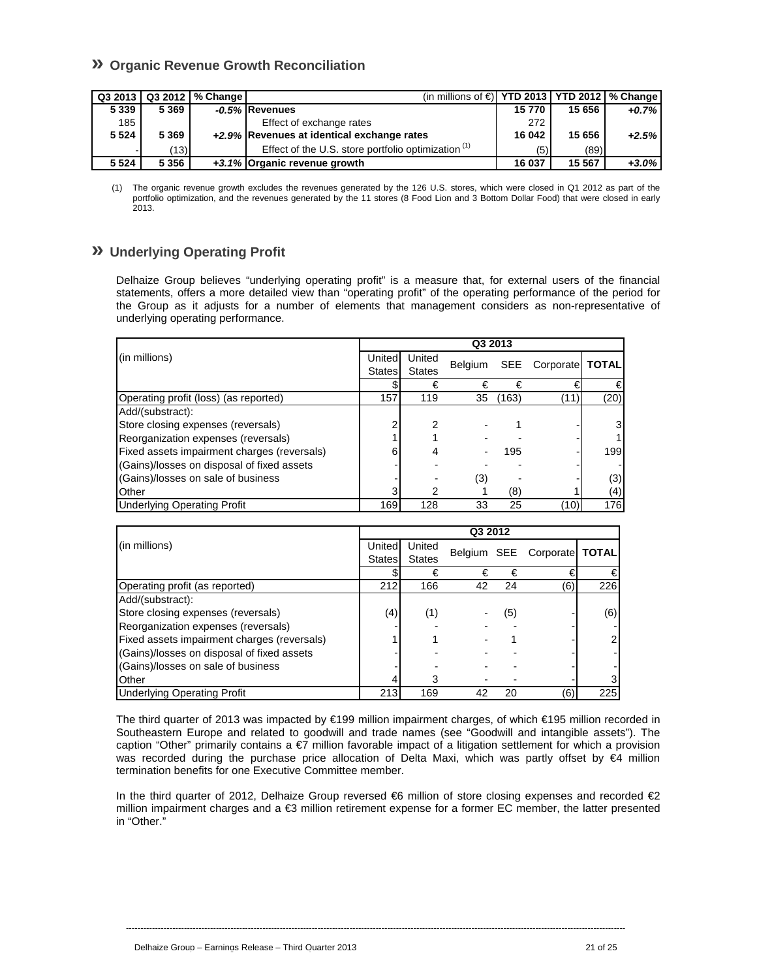## **» Organic Revenue Growth Reconciliation**

|         |         | Q3 2013   Q3 2012   % Change | (in millions of $\in$   YTD 2013   YTD 2012   % Change |        |        |          |
|---------|---------|------------------------------|--------------------------------------------------------|--------|--------|----------|
| 5 3 3 9 | 5 3 6 9 |                              | -0.5% Revenues                                         | 15770  | 15 656 | $+0.7%$  |
| 185     |         |                              | Effect of exchange rates                               | 272    |        |          |
| 5 5 2 4 | 5 3 6 9 |                              | +2.9% Revenues at identical exchange rates             | 16 042 | 15 656 | $+2.5%$  |
|         | (13)    |                              | Effect of the U.S. store portfolio optimization $(1)$  | (5)    | (89)   |          |
| 5 5 2 4 | 5 3 5 6 |                              | +3.1% Organic revenue growth                           | 16 037 | 15 567 | $+3.0\%$ |

<sup>(1)</sup> The organic revenue growth excludes the revenues generated by the 126 U.S. stores, which were closed in Q1 2012 as part of the portfolio optimization, and the revenues generated by the 11 stores (8 Food Lion and 3 Bottom Dollar Food) that were closed in early 2013.

## **» Underlying Operating Profit**

Delhaize Group believes "underlying operating profit" is a measure that, for external users of the financial statements, offers a more detailed view than "operating profit" of the operating performance of the period for the Group as it adjusts for a number of elements that management considers as non-representative of underlying operating performance.

|                                             | Q3 2013       |               |                |       |                     |      |
|---------------------------------------------|---------------|---------------|----------------|-------|---------------------|------|
| (in millions)                               | United        | United        |                |       |                     |      |
|                                             | <b>States</b> | <b>States</b> | <b>Belgium</b> |       | SEE Corporate TOTAL |      |
|                                             |               | €             | €              | €     |                     | €    |
| Operating profit (loss) (as reported)       | 157           | 119           | 35             | (163) | (11)                | (20) |
| Add/(substract):                            |               |               |                |       |                     |      |
| Store closing expenses (reversals)          |               | 2             |                |       |                     | 3    |
| Reorganization expenses (reversals)         |               |               |                |       |                     |      |
| Fixed assets impairment charges (reversals) |               |               |                | 195   |                     | 199  |
| (Gains)/losses on disposal of fixed assets  |               |               |                |       |                     |      |
| (Gains)/losses on sale of business          |               |               | (3)            |       |                     | (3)  |
| Other                                       |               |               |                | (8)   |                     | (4)  |
| <b>Underlying Operating Profit</b>          | 169           | 128           | 33             | 25    | (10)                | 176  |

|                                             | Q3 2012 |               |    |     |                             |                |  |  |  |
|---------------------------------------------|---------|---------------|----|-----|-----------------------------|----------------|--|--|--|
| (in millions)                               | Unitedl | United        |    |     |                             |                |  |  |  |
|                                             | States  | <b>States</b> |    |     | Belgium SEE Corporate TOTAL |                |  |  |  |
|                                             |         | €             | €  | €   |                             |                |  |  |  |
| Operating profit (as reported)              | 212     | 166           | 42 | 24  | (6)                         | 226            |  |  |  |
| Add/(substract):                            |         |               |    |     |                             |                |  |  |  |
| Store closing expenses (reversals)          | (4)     | (1)           |    | (5) |                             | (6)            |  |  |  |
| Reorganization expenses (reversals)         |         |               |    |     |                             |                |  |  |  |
| Fixed assets impairment charges (reversals) |         |               |    |     |                             | $\overline{2}$ |  |  |  |
| (Gains)/losses on disposal of fixed assets  |         |               |    |     |                             |                |  |  |  |
| (Gains)/losses on sale of business          |         |               |    |     |                             |                |  |  |  |
| Other                                       |         |               |    |     |                             |                |  |  |  |
| <b>Underlying Operating Profit</b>          | 213     | 169           | 42 | 20  | (6)                         | 225            |  |  |  |

The third quarter of 2013 was impacted by €199 million impairment charges, of which €195 million recorded in Southeastern Europe and related to goodwill and trade names (see "Goodwill and intangible assets"). The caption "Other" primarily contains a €7 million favorable impact of a litigation settlement for which a provision was recorded during the purchase price allocation of Delta Maxi, which was partly offset by €4 million termination benefits for one Executive Committee member.

In the third quarter of 2012, Delhaize Group reversed €6 million of store closing expenses and recorded €2 million impairment charges and a €3 million retirement expense for a former EC member, the latter presented in "Other."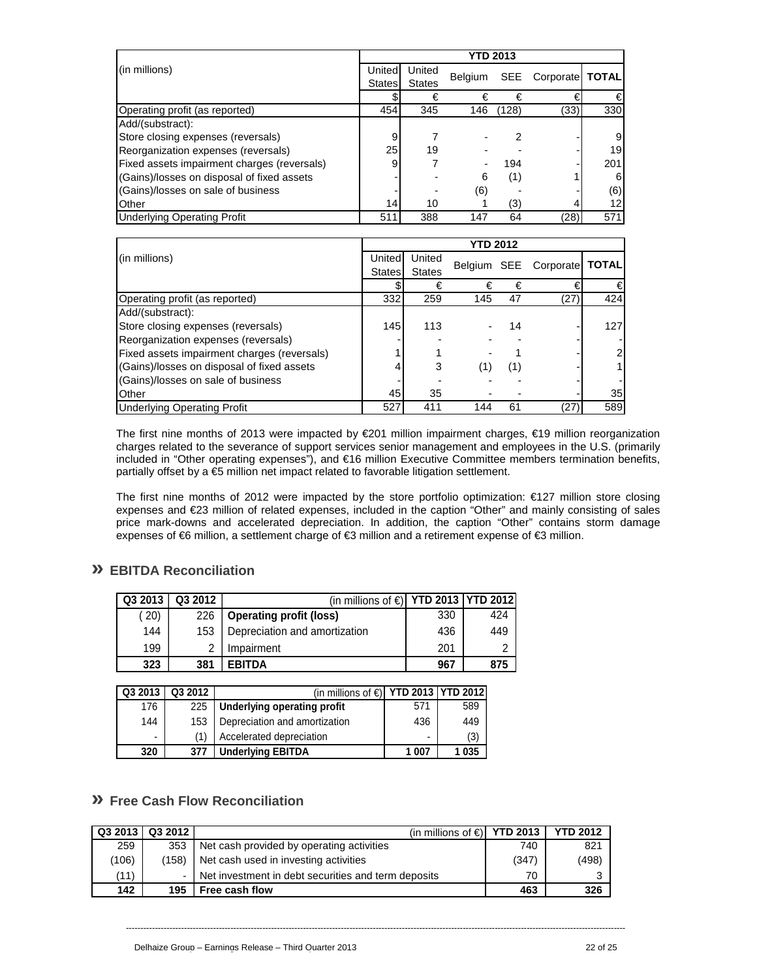|                                             | <b>YTD 2013</b> |               |                |            |                   |     |  |  |  |
|---------------------------------------------|-----------------|---------------|----------------|------------|-------------------|-----|--|--|--|
| (in millions)                               | Unitedl         | United        |                | <b>SEE</b> |                   |     |  |  |  |
|                                             | States          | <b>States</b> | <b>Belgium</b> |            | Corporate   TOTAL |     |  |  |  |
|                                             |                 | €             | €              | €          |                   | €   |  |  |  |
| Operating profit (as reported)              | 454             | 345           | 146            | (128)      | (33)              | 330 |  |  |  |
| Add/(substract):                            |                 |               |                |            |                   |     |  |  |  |
| Store closing expenses (reversals)          |                 |               |                |            |                   | 9   |  |  |  |
| Reorganization expenses (reversals)         | 25              | 19            |                |            |                   | 19  |  |  |  |
| Fixed assets impairment charges (reversals) |                 |               |                | 194        |                   | 201 |  |  |  |
| (Gains)/losses on disposal of fixed assets  |                 |               | 6              | (1)        |                   | 6   |  |  |  |
| (Gains)/losses on sale of business          |                 |               | (6)            |            |                   | (6) |  |  |  |
| Other                                       | 14              | 10            |                | (3)        |                   | 12  |  |  |  |
| <b>Underlying Operating Profit</b>          | 511             | 388           | 147            | 64         | (28)              | 571 |  |  |  |

|                                             | <b>YTD 2012</b> |               |     |     |                             |                |  |  |  |
|---------------------------------------------|-----------------|---------------|-----|-----|-----------------------------|----------------|--|--|--|
| (in millions)                               | United          | United        |     |     | Belgium SEE Corporate TOTAL |                |  |  |  |
|                                             | States          | <b>States</b> |     |     |                             |                |  |  |  |
|                                             |                 | €             | €   | €   |                             | €              |  |  |  |
| Operating profit (as reported)              | 332             | 259           | 145 | 47  | (27)                        | 424            |  |  |  |
| Add/(substract):                            |                 |               |     |     |                             |                |  |  |  |
| Store closing expenses (reversals)          | 145             | 113           |     | 14  |                             | 127            |  |  |  |
| Reorganization expenses (reversals)         |                 |               |     |     |                             |                |  |  |  |
| Fixed assets impairment charges (reversals) |                 |               |     |     |                             | $\overline{2}$ |  |  |  |
| (Gains)/losses on disposal of fixed assets  |                 |               | (1  | (1) |                             | 1              |  |  |  |
| (Gains)/losses on sale of business          |                 |               |     |     |                             |                |  |  |  |
| <b>Other</b>                                | 45              | 35            |     |     |                             | 35             |  |  |  |
| <b>Underlying Operating Profit</b>          | 527             | 411           | 144 | 61  | 27                          | 589            |  |  |  |

The first nine months of 2013 were impacted by €201 million impairment charges, €19 million reorganization charges related to the severance of support services senior management and employees in the U.S. (primarily included in "Other operating expenses"), and €16 million Executive Committee members termination benefits, partially offset by a €5 million net impact related to favorable litigation settlement.

The first nine months of 2012 were impacted by the store portfolio optimization: €127 million store closing expenses and €23 million of related expenses, included in the caption "Other" and mainly consisting of sales price mark-downs and accelerated depreciation. In addition, the caption "Other" contains storm damage expenses of €6 million, a settlement charge of €3 million and a retirement expense of €3 million.

## **» EBITDA Reconciliation**

| Q3 2013 | Q3 2012 | (in millions of $\bigoplus$   YTD 2013   YTD 2012 |     |     |
|---------|---------|---------------------------------------------------|-----|-----|
| (20)    | 226     | <b>Operating profit (loss)</b>                    | 330 | 424 |
| 144     | 153     | Depreciation and amortization                     | 436 | 449 |
| 199     | າ       | Impairment                                        | 201 | ⌒   |
| 323     | 381     | <b>EBITDA</b>                                     | 967 | 875 |

| Q3 2013 | Q3 2012 | (in millions of $\bigcirc$   YTD 2013   YTD 2012 |       |         |
|---------|---------|--------------------------------------------------|-------|---------|
| 176     | 225     | Underlying operating profit                      | 571   | 589     |
| 144     | 153     | Depreciation and amortization                    | 436   | 449     |
| ٠       |         | Accelerated depreciation                         | ۰     | (3)     |
| 320     | 377     | <b>Underlying EBITDA</b>                         | 1 007 | 1 0 3 5 |

## **» Free Cash Flow Reconciliation**

|       | Q3 2013   Q3 2012 | (in millions of $\in$ <b>YTD 2013</b>               |       | <b>YTD 2012</b> |
|-------|-------------------|-----------------------------------------------------|-------|-----------------|
| 259   | 353               | Net cash provided by operating activities           | 740   | 821             |
| (106) | (158)             | Net cash used in investing activities               | (347) | (498)           |
| (11)  |                   | Net investment in debt securities and term deposits | 70    |                 |
| 142   | 195               | Free cash flow                                      | 463   | 326             |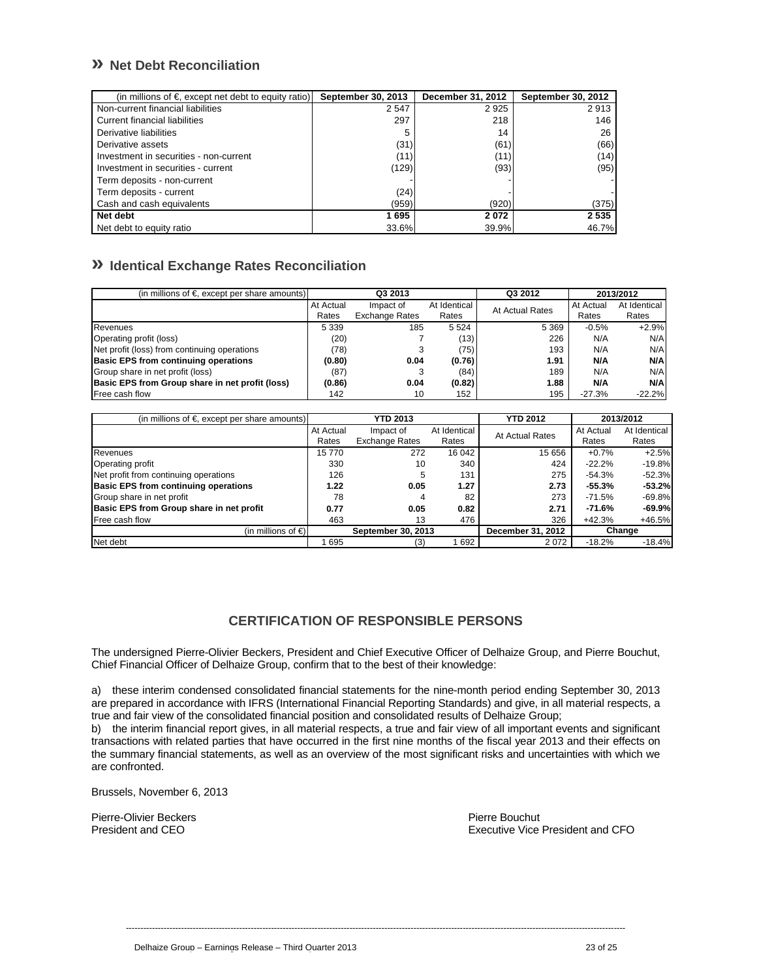## **» Net Debt Reconciliation**

| (in millions of $\epsilon$ , except net debt to equity ratio) | September 30, 2013 | December 31, 2012 | <b>September 30, 2012</b> |
|---------------------------------------------------------------|--------------------|-------------------|---------------------------|
| Non-current financial liabilities                             | 2 5 4 7            | 2925              | 2913                      |
| Current financial liabilities                                 | 297                | 218               | 146                       |
| Derivative liabilities                                        | 5                  | 14                | 26                        |
| Derivative assets                                             | (31)               | (61)              | (66)                      |
| Investment in securities - non-current                        | (11)               | (11)              | (14)                      |
| Investment in securities - current                            | (129)              | (93)              | (95)                      |
| Term deposits - non-current                                   |                    |                   |                           |
| Term deposits - current                                       | (24)               |                   |                           |
| Cash and cash equivalents                                     | (959)              | (920)             | (375)                     |
| Net debt                                                      | 1695               | 2072              | 2 5 3 5                   |
| Net debt to equity ratio                                      | 33.6%              | 39.9%             | 46.7%                     |

## **» Identical Exchange Rates Reconciliation**

| (in millions of $\epsilon$ , except per share amounts) | Q3 2013   |                       | Q3 2012      | 2013/2012       |           |              |
|--------------------------------------------------------|-----------|-----------------------|--------------|-----------------|-----------|--------------|
|                                                        | At Actual | Impact of             | At Identical | At Actual Rates | At Actual | At Identical |
|                                                        | Rates     | <b>Exchange Rates</b> | Rates        |                 | Rates     | Rates        |
| <b>Revenues</b>                                        | 5 3 3 9   | 185                   | 5 5 2 4      | 5 3 6 9         | $-0.5%$   | $+2.9%$      |
| Operating profit (loss)                                | (20)      |                       | (13) l       | 226             | N/A       | N/A          |
| Net profit (loss) from continuing operations           | (78)      |                       | (75)         | 193             | N/A       | N/A          |
| <b>Basic EPS from continuing operations</b>            | (0.80)    | 0.04                  | (0.76)       | 1.91            | N/A       | N/A          |
| Group share in net profit (loss)                       | (87)      |                       | (84)         | 189             | N/A       | N/A          |
| Basic EPS from Group share in net profit (loss)        | (0.86)    | 0.04                  | (0.82)       | 1.88            | N/A       | N/A          |
| Free cash flow                                         | 142       | 10                    | 152          | 195             | $-27.3%$  | $-22.2%$     |

| (in millions of $\epsilon$ , except per share amounts) |           | YTD 2013              |              | <b>YTD 2012</b>   |           | 2013/2012    |
|--------------------------------------------------------|-----------|-----------------------|--------------|-------------------|-----------|--------------|
|                                                        | At Actual | Impact of             | At Identical | At Actual Rates   | At Actual | At Identical |
|                                                        | Rates     | <b>Exchange Rates</b> | Rates        |                   | Rates     | Rates        |
| Revenues                                               | 15770     | 272                   | 16 042       | 15 656            | $+0.7%$   | $+2.5%$      |
| Operating profit                                       | 330       | 10                    | 340          | 424               | $-22.2%$  | $-19.8%$     |
| Net profit from continuing operations                  | 126       | 5                     | 131          | 275               | -54.3%    | $-52.3%$     |
| <b>Basic EPS from continuing operations</b>            | 1.22      | 0.05                  | 1.27         | 2.73              | $-55.3%$  | $-53.2%$     |
| Group share in net profit                              | 78        | 4                     | 82           | 273               | $-71.5%$  | $-69.8%$     |
| Basic EPS from Group share in net profit               | 0.77      | 0.05                  | 0.82         | 2.71              | -71.6%    | $-69.9%$     |
| Free cash flow                                         | 463       | 13                    | 476          | 326               | $+42.3%$  | $+46.5%$     |
| (in millions of $\in$ )                                |           | September 30, 2013    |              | December 31, 2012 |           | Change       |
| Net debt                                               | 695       | (3)                   | 1692         | 2072              | $-18.2%$  | $-18.4%$     |

## **CERTIFICATION OF RESPONSIBLE PERSONS**

The undersigned Pierre-Olivier Beckers, President and Chief Executive Officer of Delhaize Group, and Pierre Bouchut, Chief Financial Officer of Delhaize Group, confirm that to the best of their knowledge:

a) these interim condensed consolidated financial statements for the nine-month period ending September 30, 2013 are prepared in accordance with IFRS (International Financial Reporting Standards) and give, in all material respects, a true and fair view of the consolidated financial position and consolidated results of Delhaize Group;

b) the interim financial report gives, in all material respects, a true and fair view of all important events and significant transactions with related parties that have occurred in the first nine months of the fiscal year 2013 and their effects on the summary financial statements, as well as an overview of the most significant risks and uncertainties with which we are confronted.

----------------------------------------------------------------------------------------------------------------------------------------------------------------------------

Brussels, November 6, 2013

Pierre-Olivier Beckers and the control of the control of the Pierre Bouchut President and CEO and the control of the Pierre Bouchut President and CEO and the control of the control of the control of the control of the cont

Executive Vice President and CFO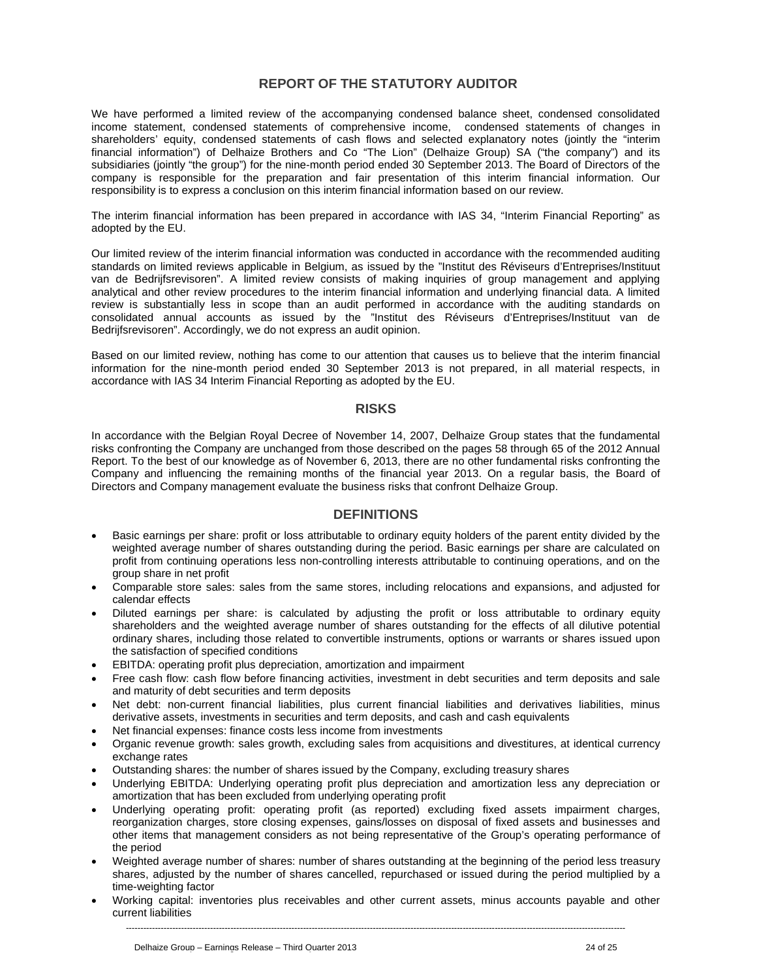## **REPORT OF THE STATUTORY AUDITOR**

We have performed a limited review of the accompanying condensed balance sheet, condensed consolidated income statement, condensed statements of comprehensive income, condensed statements of changes in shareholders' equity, condensed statements of cash flows and selected explanatory notes (jointly the "interim financial information") of Delhaize Brothers and Co "The Lion" (Delhaize Group) SA ("the company") and its subsidiaries (jointly "the group") for the nine-month period ended 30 September 2013. The Board of Directors of the company is responsible for the preparation and fair presentation of this interim financial information. Our responsibility is to express a conclusion on this interim financial information based on our review.

The interim financial information has been prepared in accordance with IAS 34, "Interim Financial Reporting" as adopted by the EU.

Our limited review of the interim financial information was conducted in accordance with the recommended auditing standards on limited reviews applicable in Belgium, as issued by the "Institut des Réviseurs d'Entreprises/Instituut van de Bedrijfsrevisoren". A limited review consists of making inquiries of group management and applying analytical and other review procedures to the interim financial information and underlying financial data. A limited review is substantially less in scope than an audit performed in accordance with the auditing standards on consolidated annual accounts as issued by the "Institut des Réviseurs d'Entreprises/Instituut van de Bedrijfsrevisoren". Accordingly, we do not express an audit opinion.

Based on our limited review, nothing has come to our attention that causes us to believe that the interim financial information for the nine-month period ended 30 September 2013 is not prepared, in all material respects, in accordance with IAS 34 Interim Financial Reporting as adopted by the EU.

## **RISKS**

In accordance with the Belgian Royal Decree of November 14, 2007, Delhaize Group states that the fundamental risks confronting the Company are unchanged from those described on the pages 58 through 65 of the 2012 Annual Report. To the best of our knowledge as of November 6, 2013, there are no other fundamental risks confronting the Company and influencing the remaining months of the financial year 2013. On a regular basis, the Board of Directors and Company management evaluate the business risks that confront Delhaize Group.

## **DEFINITIONS**

- Basic earnings per share: profit or loss attributable to ordinary equity holders of the parent entity divided by the weighted average number of shares outstanding during the period. Basic earnings per share are calculated on profit from continuing operations less non-controlling interests attributable to continuing operations, and on the group share in net profit
- Comparable store sales: sales from the same stores, including relocations and expansions, and adjusted for calendar effects
- Diluted earnings per share: is calculated by adjusting the profit or loss attributable to ordinary equity shareholders and the weighted average number of shares outstanding for the effects of all dilutive potential ordinary shares, including those related to convertible instruments, options or warrants or shares issued upon the satisfaction of specified conditions
- EBITDA: operating profit plus depreciation, amortization and impairment
- Free cash flow: cash flow before financing activities, investment in debt securities and term deposits and sale and maturity of debt securities and term deposits
- Net debt: non-current financial liabilities, plus current financial liabilities and derivatives liabilities, minus derivative assets, investments in securities and term deposits, and cash and cash equivalents
- Net financial expenses: finance costs less income from investments
- Organic revenue growth: sales growth, excluding sales from acquisitions and divestitures, at identical currency exchange rates
- Outstanding shares: the number of shares issued by the Company, excluding treasury shares
- Underlying EBITDA: Underlying operating profit plus depreciation and amortization less any depreciation or amortization that has been excluded from underlying operating profit
- Underlying operating profit: operating profit (as reported) excluding fixed assets impairment charges, reorganization charges, store closing expenses, gains/losses on disposal of fixed assets and businesses and other items that management considers as not being representative of the Group's operating performance of the period
- Weighted average number of shares: number of shares outstanding at the beginning of the period less treasury shares, adjusted by the number of shares cancelled, repurchased or issued during the period multiplied by a time-weighting factor
- ---------------------------------------------------------------------------------------------------------------------------------------------------------------------------- Working capital: inventories plus receivables and other current assets, minus accounts payable and other current liabilities